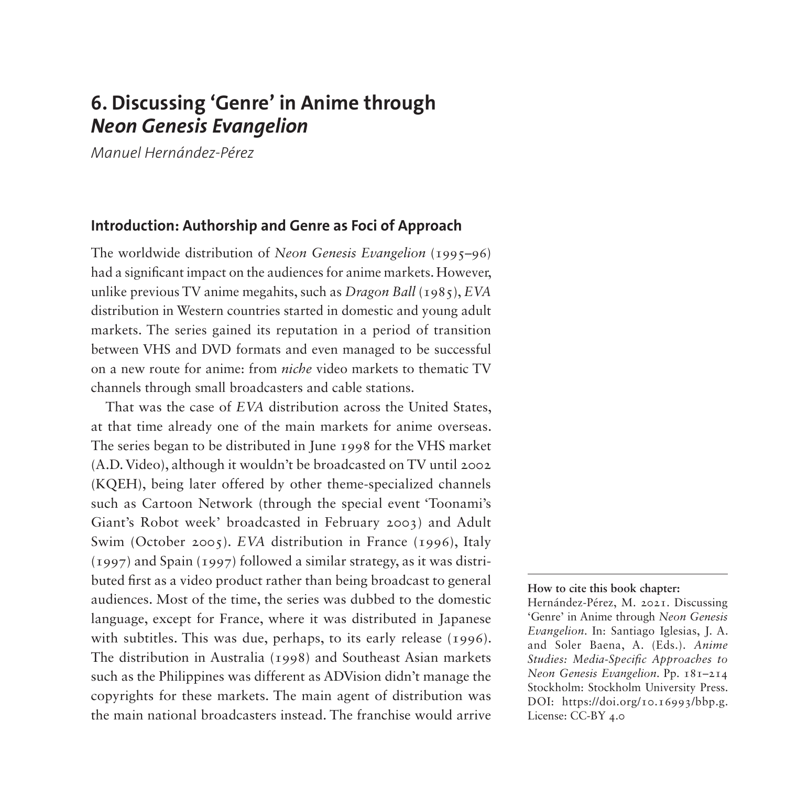# **6. Discussing 'Genre' in Anime through**  *Neon Genesis Evangelion*

*Manuel Hernández-Pérez*

### **Introduction: Authorship and Genre as Foci of Approach**

The worldwide distribution of *Neon Genesis Evangelion* (1995–96) had a significant impact on the audiences for anime markets. However, unlike previous TV anime megahits, such as *Dragon Ball* (1985), *EVA* distribution in Western countries started in domestic and young adult markets. The series gained its reputation in a period of transition between VHS and DVD formats and even managed to be successful on a new route for anime: from *niche* video markets to thematic TV channels through small broadcasters and cable stations.

That was the case of *EVA* distribution across the United States, at that time already one of the main markets for anime overseas. The series began to be distributed in June 1998 for the VHS market (A.D. Video), although it wouldn't be broadcasted on TV until 2002 (KQEH), being later offered by other theme-specialized channels such as Cartoon Network (through the special event 'Toonami's Giant's Robot week' broadcasted in February 2003) and Adult Swim (October 2005). *EVA* distribution in France (1996), Italy (1997) and Spain (1997) followed a similar strategy, as it was distributed first as a video product rather than being broadcast to general audiences. Most of the time, the series was dubbed to the domestic language, except for France, where it was distributed in Japanese with subtitles. This was due, perhaps, to its early release (1996). The distribution in Australia (1998) and Southeast Asian markets such as the Philippines was different as ADVision didn't manage the copyrights for these markets. The main agent of distribution was the main national broadcasters instead. The franchise would arrive

**How to cite this book chapter:**

Hernández-Pérez, M. 2021. Discussing 'Genre' in Anime through *Neon Genesis Evangelion*. In: Santiago Iglesias, J. A. and Soler Baena, A. (Eds.). *Anime Studies: Media-Specific Approaches to Neon Genesis Evangelion*. Pp. 181–214 Stockholm: Stockholm University Press. DOI: [https://doi.org/10.16993/bbp.g.](https://doi.org/10.16993/bbp.g) License: CC-BY 4.0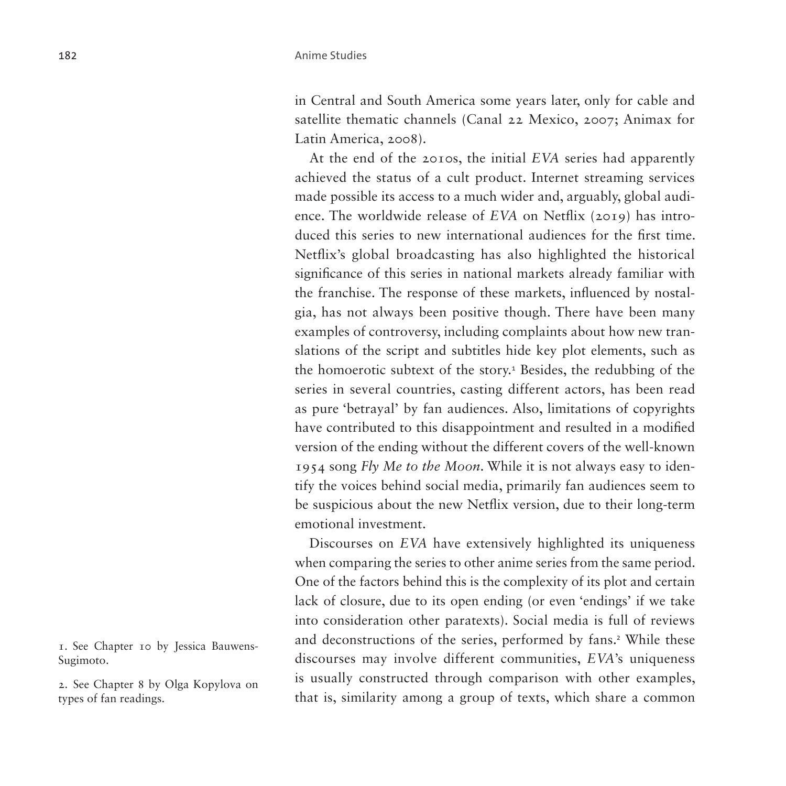in Central and South America some years later, only for cable and satellite thematic channels (Canal 22 Mexico, 2007; Animax for Latin America, 2008).

At the end of the 2010s, the initial *EVA* series had apparently achieved the status of a cult product. Internet streaming services made possible its access to a much wider and, arguably, global audience. The worldwide release of *EVA* on Netflix (2019) has introduced this series to new international audiences for the first time. Netflix's global broadcasting has also highlighted the historical significance of this series in national markets already familiar with the franchise. The response of these markets, influenced by nostalgia, has not always been positive though. There have been many examples of controversy, including complaints about how new translations of the script and subtitles hide key plot elements, such as the homoerotic subtext of the story.<sup>[1](#page-1-0)</sup> Besides, the redubbing of the series in several countries, casting different actors, has been read as pure 'betrayal' by fan audiences. Also, limitations of copyrights have contributed to this disappointment and resulted in a modified version of the ending without the different covers of the well-known 1954 song *Fly Me to the Moon*. While it is not always easy to identify the voices behind social media, primarily fan audiences seem to be suspicious about the new Netflix version, due to their long-term emotional investment.

Discourses on *EVA* have extensively highlighted its uniqueness when comparing the series to other anime series from the same period. One of the factors behind this is the complexity of its plot and certain lack of closure, due to its open ending (or even 'endings' if we take into consideration other paratexts). Social media is full of reviews and deconstructions of the series, performed by fans.<sup>[2](#page-1-1)</sup> While these discourses may involve different communities, *EVA*'s uniqueness is usually constructed through comparison with other examples, that is, similarity among a group of texts, which share a common

<span id="page-1-0"></span>1. See Chapter 10 by Jessica Bauwens-Sugimoto.

<span id="page-1-1"></span>2. See Chapter 8 by Olga Kopylova on types of fan readings.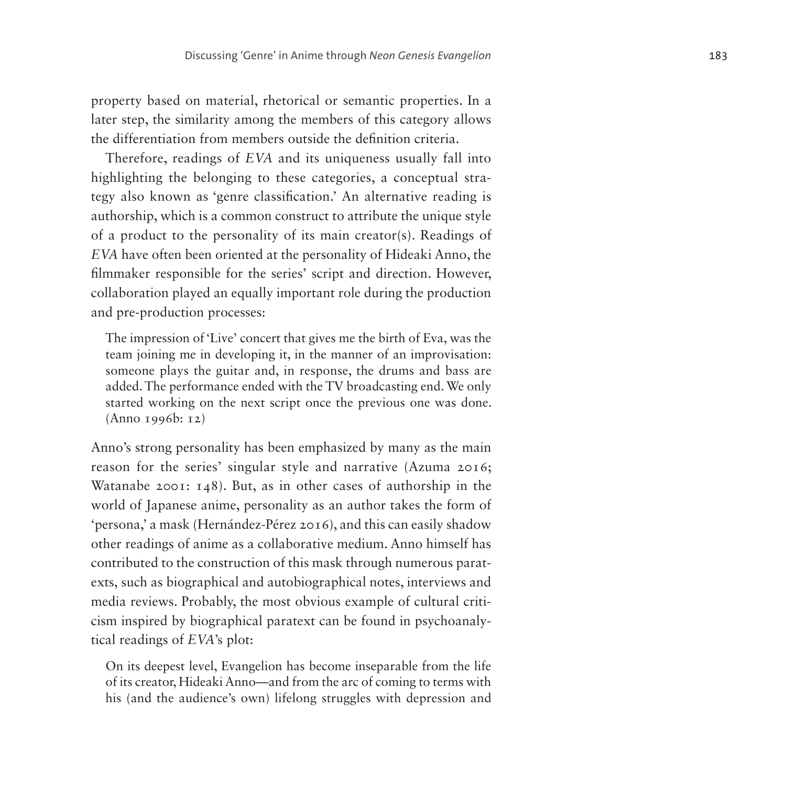property based on material, rhetorical or semantic properties. In a later step, the similarity among the members of this category allows the differentiation from members outside the definition criteria.

Therefore, readings of *EVA* and its uniqueness usually fall into highlighting the belonging to these categories, a conceptual strategy also known as 'genre classification.' An alternative reading is authorship, which is a common construct to attribute the unique style of a product to the personality of its main creator(s). Readings of *EVA* have often been oriented at the personality of Hideaki Anno, the filmmaker responsible for the series' script and direction. However, collaboration played an equally important role during the production and pre-production processes:

The impression of 'Live' concert that gives me the birth of Eva, was the team joining me in developing it, in the manner of an improvisation: someone plays the guitar and, in response, the drums and bass are added. The performance ended with the TV broadcasting end. We only started working on the next script once the previous one was done. (Anno 1996b: 12)

Anno's strong personality has been emphasized by many as the main reason for the series' singular style and narrative (Azuma 2016; Watanabe 2001: 148). But, as in other cases of authorship in the world of Japanese anime, personality as an author takes the form of 'persona,' a mask (Hernández-Pérez 2016), and this can easily shadow other readings of anime as a collaborative medium. Anno himself has contributed to the construction of this mask through numerous paratexts, such as biographical and autobiographical notes, interviews and media reviews. Probably, the most obvious example of cultural criticism inspired by biographical paratext can be found in psychoanalytical readings of *EVA*'s plot:

On its deepest level, Evangelion has become inseparable from the life of its creator, Hideaki Anno—and from the arc of coming to terms with his (and the audience's own) lifelong struggles with depression and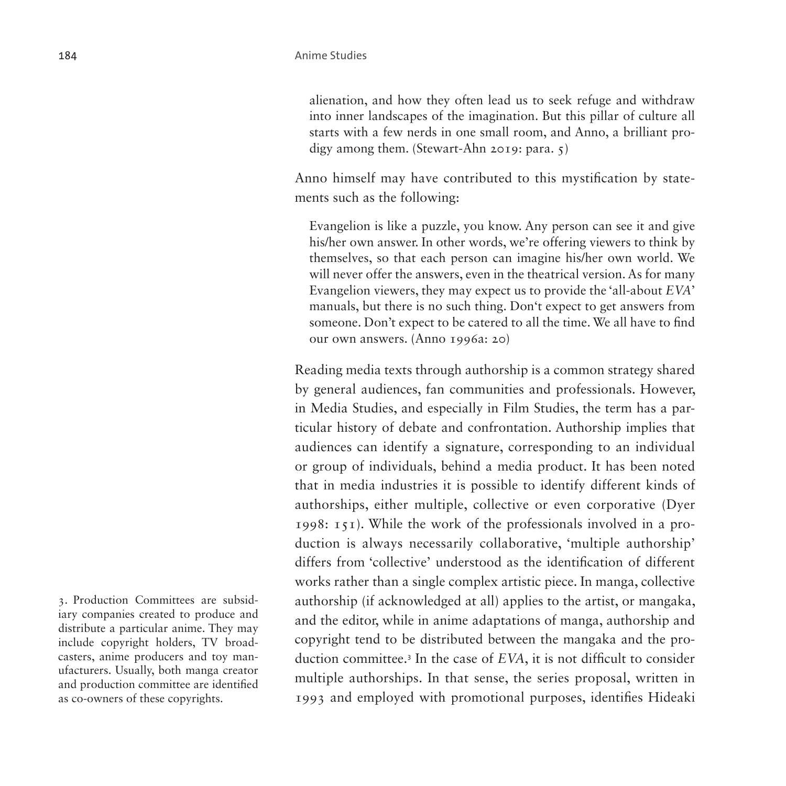alienation, and how they often lead us to seek refuge and withdraw into inner landscapes of the imagination. But this pillar of culture all starts with a few nerds in one small room, and Anno, a brilliant prodigy among them. (Stewart-Ahn 2019: para. 5)

Anno himself may have contributed to this mystification by statements such as the following:

Evangelion is like a puzzle, you know. Any person can see it and give his/her own answer. In other words, we're offering viewers to think by themselves, so that each person can imagine his/her own world. We will never offer the answers, even in the theatrical version. As for many Evangelion viewers, they may expect us to provide the 'all-about *EVA*' manuals, but there is no such thing. Don't expect to get answers from someone. Don't expect to be catered to all the time. We all have to find our own answers. (Anno 1996a: 20)

Reading media texts through authorship is a common strategy shared by general audiences, fan communities and professionals. However, in Media Studies, and especially in Film Studies, the term has a particular history of debate and confrontation. Authorship implies that audiences can identify a signature, corresponding to an individual or group of individuals, behind a media product. It has been noted that in media industries it is possible to identify different kinds of authorships, either multiple, collective or even corporative (Dyer 1998: 151). While the work of the professionals involved in a production is always necessarily collaborative, 'multiple authorship' differs from 'collective' understood as the identification of different works rather than a single complex artistic piece. In manga, collective authorship (if acknowledged at all) applies to the artist, or mangaka, and the editor, while in anime adaptations of manga, authorship and copyright tend to be distributed between the mangaka and the production committee.[3](#page-3-0) In the case of *EVA*, it is not difficult to consider multiple authorships. In that sense, the series proposal, written in 1993 and employed with promotional purposes, identifies Hideaki

<span id="page-3-0"></span>3. Production Committees are subsidiary companies created to produce and distribute a particular anime. They may include copyright holders, TV broadcasters, anime producers and toy manufacturers. Usually, both manga creator and production committee are identified as co-owners of these copyrights.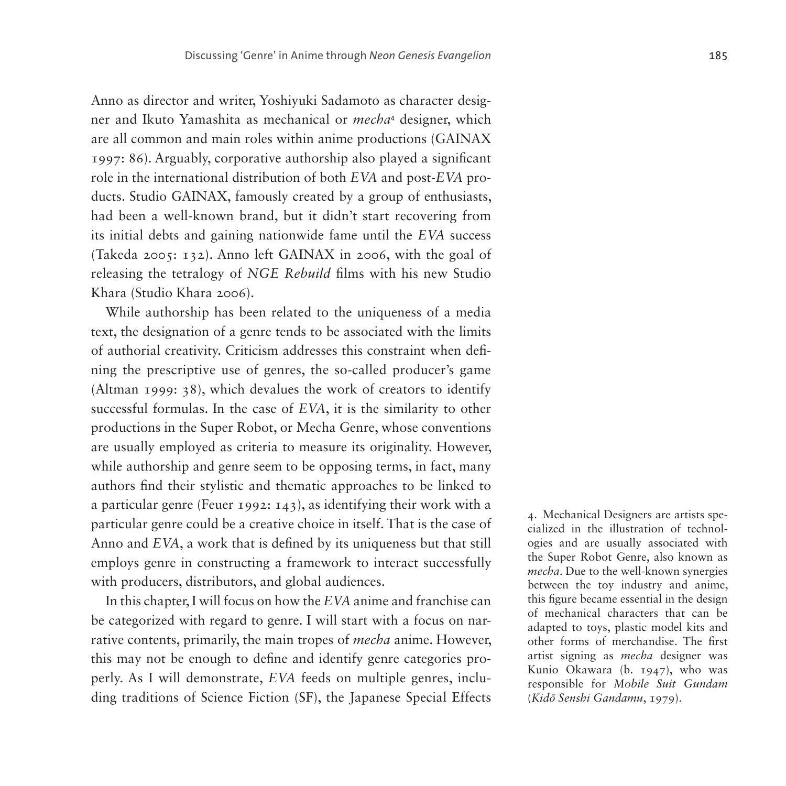Anno as director and writer, Yoshiyuki Sadamoto as character designer and Ikuto Yamashita as mechanical or *mecha*[4](#page-4-0) designer, which are all common and main roles within anime productions (GAINAX 1997: 86). Arguably, corporative authorship also played a significant role in the international distribution of both *EVA* and post-*EVA* products. Studio GAINAX, famously created by a group of enthusiasts, had been a well-known brand, but it didn't start recovering from its initial debts and gaining nationwide fame until the *EVA* success (Takeda 2005: 132). Anno left GAINAX in 2006, with the goal of releasing the tetralogy of *NGE Rebuild* films with his new Studio Khara (Studio Khara 2006).

While authorship has been related to the uniqueness of a media text, the designation of a genre tends to be associated with the limits of authorial creativity. Criticism addresses this constraint when defining the prescriptive use of genres, the so-called producer's game (Altman 1999: 38), which devalues the work of creators to identify successful formulas. In the case of *EVA*, it is the similarity to other productions in the Super Robot, or Mecha Genre, whose conventions are usually employed as criteria to measure its originality. However, while authorship and genre seem to be opposing terms, in fact, many authors find their stylistic and thematic approaches to be linked to a particular genre (Feuer 1992: 143), as identifying their work with a particular genre could be a creative choice in itself. That is the case of Anno and *EVA*, a work that is defined by its uniqueness but that still employs genre in constructing a framework to interact successfully with producers, distributors, and global audiences.

In this chapter, I will focus on how the *EVA* anime and franchise can be categorized with regard to genre. I will start with a focus on narrative contents, primarily, the main tropes of *mecha* anime. However, this may not be enough to define and identify genre categories properly. As I will demonstrate, *EVA* feeds on multiple genres, including traditions of Science Fiction (SF), the Japanese Special Effects

<span id="page-4-0"></span>4. Mechanical Designers are artists specialized in the illustration of technologies and are usually associated with the Super Robot Genre, also known as *mecha*. Due to the well-known synergies between the toy industry and anime, this figure became essential in the design of mechanical characters that can be adapted to toys, plastic model kits and other forms of merchandise. The first artist signing as *mecha* designer was Kunio Okawara (b. 1947), who was responsible for *Mobile Suit Gundam* (*Kidō Senshi Gandamu*, 1979).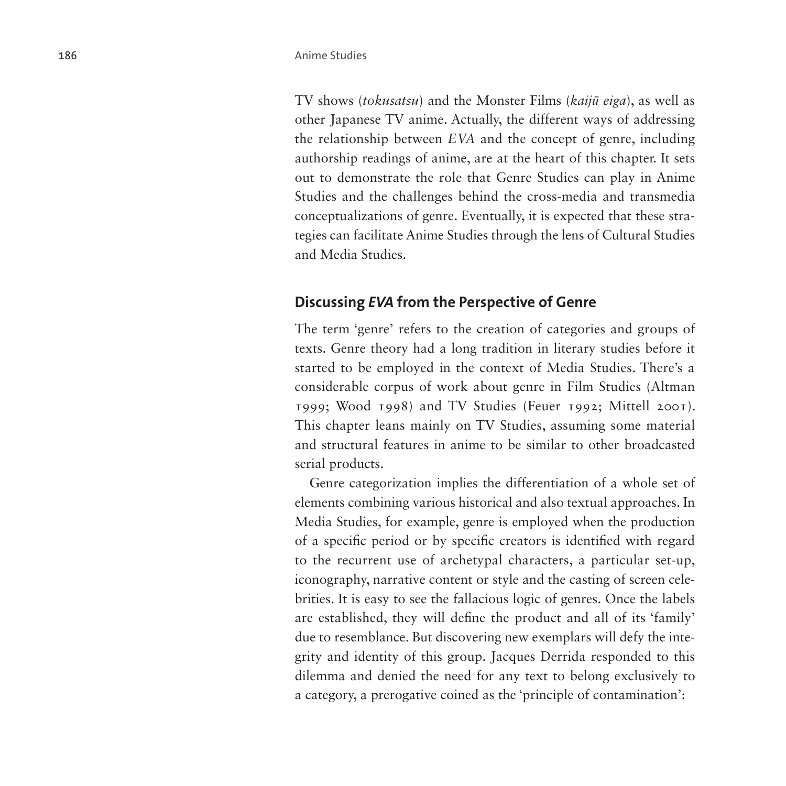TV shows (*tokusatsu*) and the Monster Films (*kaijū eiga*), as well as other Japanese TV anime. Actually, the different ways of addressing the relationship between *EVA* and the concept of genre, including authorship readings of anime, are at the heart of this chapter. It sets out to demonstrate the role that Genre Studies can play in Anime Studies and the challenges behind the cross-media and transmedia conceptualizations of genre. Eventually, it is expected that these strategies can facilitate Anime Studies through the lens of Cultural Studies and Media Studies.

### **Discussing** *EVA* **from the Perspective of Genre**

The term 'genre' refers to the creation of categories and groups of texts. Genre theory had a long tradition in literary studies before it started to be employed in the context of Media Studies. There's a considerable corpus of work about genre in Film Studies (Altman 1999; Wood 1998) and TV Studies (Feuer 1992; Mittell 2001). This chapter leans mainly on TV Studies, assuming some material and structural features in anime to be similar to other broadcasted serial products.

Genre categorization implies the differentiation of a whole set of elements combining various historical and also textual approaches. In Media Studies, for example, genre is employed when the production of a specific period or by specific creators is identified with regard to the recurrent use of archetypal characters, a particular set-up, iconography, narrative content or style and the casting of screen celebrities. It is easy to see the fallacious logic of genres. Once the labels are established, they will define the product and all of its 'family' due to resemblance. But discovering new exemplars will defy the integrity and identity of this group. Jacques Derrida responded to this dilemma and denied the need for any text to belong exclusively to a category, a prerogative coined as the 'principle of contamination':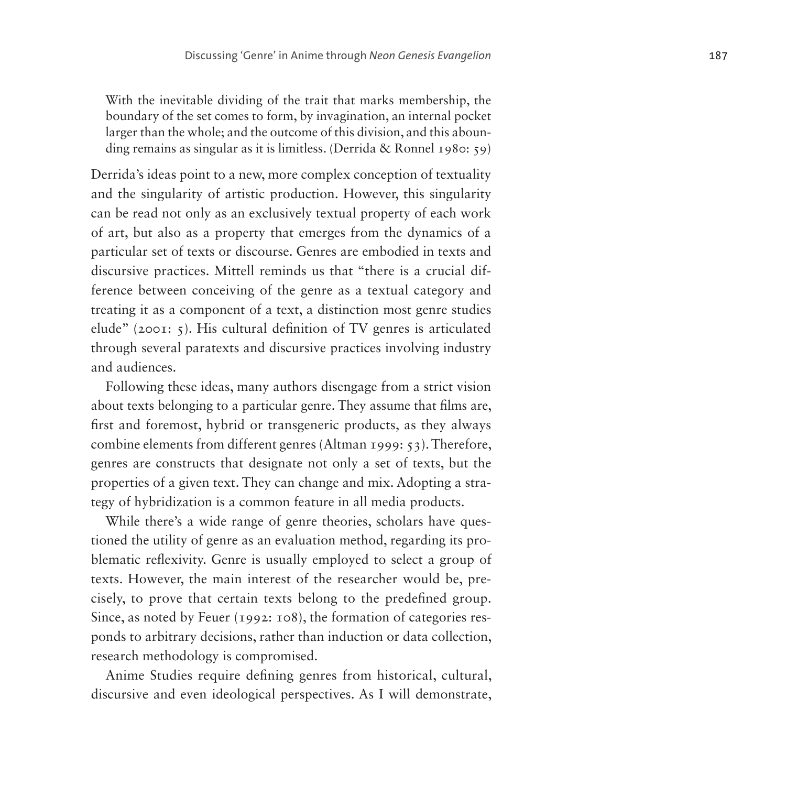With the inevitable dividing of the trait that marks membership, the boundary of the set comes to form, by invagination, an internal pocket larger than the whole; and the outcome of this division, and this abounding remains as singular as it is limitless. (Derrida & Ronnel 1980: 59)

Derrida's ideas point to a new, more complex conception of textuality and the singularity of artistic production. However, this singularity can be read not only as an exclusively textual property of each work of art, but also as a property that emerges from the dynamics of a particular set of texts or discourse. Genres are embodied in texts and discursive practices. Mittell reminds us that "there is a crucial difference between conceiving of the genre as a textual category and treating it as a component of a text, a distinction most genre studies elude" (2001: 5). His cultural definition of TV genres is articulated through several paratexts and discursive practices involving industry and audiences.

Following these ideas, many authors disengage from a strict vision about texts belonging to a particular genre. They assume that films are, first and foremost, hybrid or transgeneric products, as they always combine elements from different genres (Altman 1999: 53). Therefore, genres are constructs that designate not only a set of texts, but the properties of a given text. They can change and mix. Adopting a strategy of hybridization is a common feature in all media products.

While there's a wide range of genre theories, scholars have questioned the utility of genre as an evaluation method, regarding its problematic reflexivity. Genre is usually employed to select a group of texts. However, the main interest of the researcher would be, precisely, to prove that certain texts belong to the predefined group. Since, as noted by Feuer (1992: 108), the formation of categories responds to arbitrary decisions, rather than induction or data collection, research methodology is compromised.

Anime Studies require defining genres from historical, cultural, discursive and even ideological perspectives. As I will demonstrate,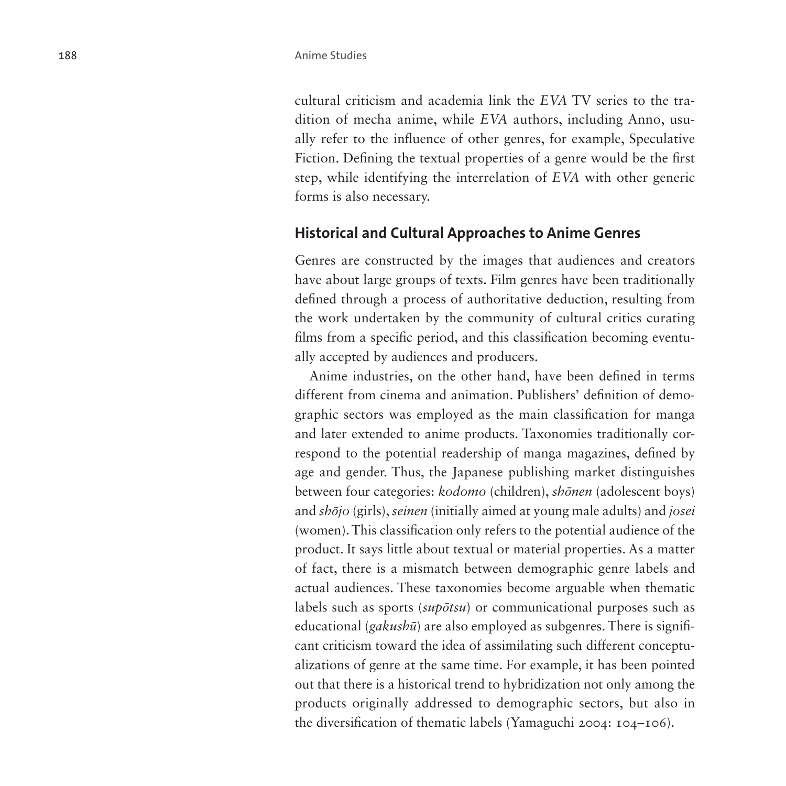cultural criticism and academia link the *EVA* TV series to the tradition of mecha anime, while *EVA* authors, including Anno, usually refer to the influence of other genres, for example, Speculative Fiction. Defining the textual properties of a genre would be the first step, while identifying the interrelation of *EVA* with other generic forms is also necessary.

### **Historical and Cultural Approaches to Anime Genres**

Genres are constructed by the images that audiences and creators have about large groups of texts. Film genres have been traditionally defined through a process of authoritative deduction, resulting from the work undertaken by the community of cultural critics curating films from a specific period, and this classification becoming eventually accepted by audiences and producers.

Anime industries, on the other hand, have been defined in terms different from cinema and animation. Publishers' definition of demographic sectors was employed as the main classification for manga and later extended to anime products. Taxonomies traditionally correspond to the potential readership of manga magazines, defined by age and gender. Thus, the Japanese publishing market distinguishes between four categories: *kodomo* (children), *shōnen* (adolescent boys) and *shōjo* (girls), *seinen* (initially aimed at young male adults) and *josei* (women). This classification only refers to the potential audience of the product. It says little about textual or material properties. As a matter of fact, there is a mismatch between demographic genre labels and actual audiences. These taxonomies become arguable when thematic labels such as sports (*supōtsu*) or communicational purposes such as educational (*gakushū*) are also employed as subgenres. There is significant criticism toward the idea of assimilating such different conceptualizations of genre at the same time. For example, it has been pointed out that there is a historical trend to hybridization not only among the products originally addressed to demographic sectors, but also in the diversification of thematic labels (Yamaguchi 2004: 104–106).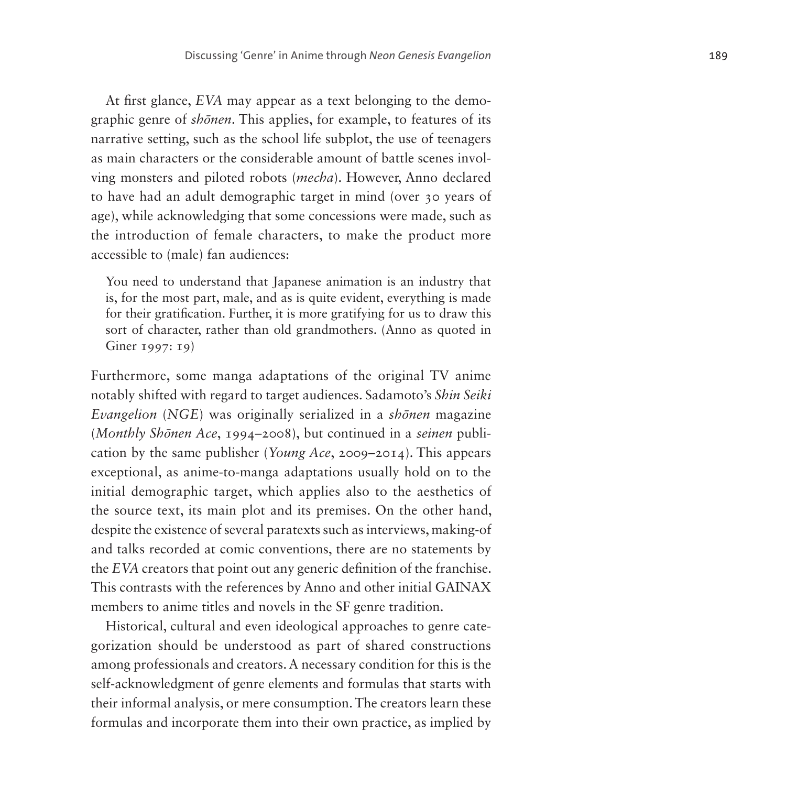At first glance, *EVA* may appear as a text belonging to the demo graphic genre of *sh ōnen*. This applies, for example, to features of its narrative setting, such as the school life subplot, the use of teenagers as main characters or the considerable amount of battle scenes invol ving monsters and piloted robots (*mecha*). However, Anno declared to have had an adult demographic target in mind (over 30 years of age), while acknowledging that some concessions were made, such as the introduction of female characters, to make the product more accessible to (male) fan audiences:

You need to understand that Japanese animation is an industry that is, for the most part, male, and as is quite evident, everything is made for their gratification. Further, it is more gratifying for us to draw this sort of character, rather than old grandmothers. (Anno as quoted in Giner 1997: 19)

Furthermore, some manga adaptations of the original TV anime notably shifted with regard to target audiences. Sadamoto's *Shin Seiki Evangelion* (*NGE*) was originally serialized in a *sh ōnen* magazine (*Monthly Sh ōnen Ace*, 1994–2008), but continued in a *seinen* publi cation by the same publisher (*Young Ace*, 2009–2014). This appears exceptional, as anime-to-manga adaptations usually hold on to the initial demographic target, which applies also to the aesthetics of the source text, its main plot and its premises. On the other hand, despite the existence of several paratexts such as interviews, making-of and talks recorded at comic conventions, there are no statements by the *EVA* creators that point out any generic definition of the franchise. This contrasts with the references by Anno and other initial GAINAX members to anime titles and novels in the SF genre tradition.

Historical, cultural and even ideological approaches to genre cate gorization should be understood as part of shared constructions among professionals and creators. A necessary condition for this is the self-acknowledgment of genre elements and formulas that starts with their informal analysis, or mere consumption. The creators learn these formulas and incorporate them into their own practice, as implied by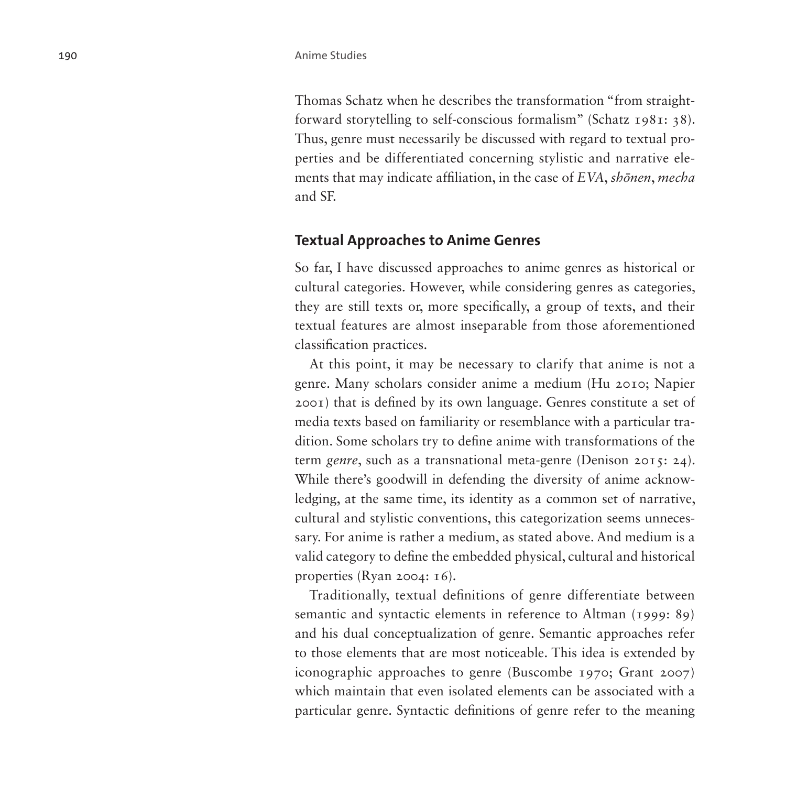Thomas Schatz when he describes the transformation "from straightforward storytelling to self-conscious formalism" (Schatz 1981: 38). Thus, genre must necessarily be discussed with regard to textual properties and be differentiated concerning stylistic and narrative elements that may indicate affiliation, in the case of *EVA*, *shōnen*, *mecha* and SF.

### **Textual Approaches to Anime Genres**

So far, I have discussed approaches to anime genres as historical or cultural categories. However, while considering genres as categories, they are still texts or, more specifically, a group of texts, and their textual features are almost inseparable from those aforementioned classification practices.

At this point, it may be necessary to clarify that anime is not a genre. Many scholars consider anime a medium (Hu 2010; Napier 2001) that is defined by its own language. Genres constitute a set of media texts based on familiarity or resemblance with a particular tradition. Some scholars try to define anime with transformations of the term *genre*, such as a transnational meta-genre (Denison 2015: 24). While there's goodwill in defending the diversity of anime acknowledging, at the same time, its identity as a common set of narrative, cultural and stylistic conventions, this categorization seems unnecessary. For anime is rather a medium, as stated above. And medium is a valid category to define the embedded physical, cultural and historical properties (Ryan 2004: 16).

Traditionally, textual definitions of genre differentiate between semantic and syntactic elements in reference to Altman (1999: 89) and his dual conceptualization of genre. Semantic approaches refer to those elements that are most noticeable. This idea is extended by iconographic approaches to genre (Buscombe 1970; Grant 2007) which maintain that even isolated elements can be associated with a particular genre. Syntactic definitions of genre refer to the meaning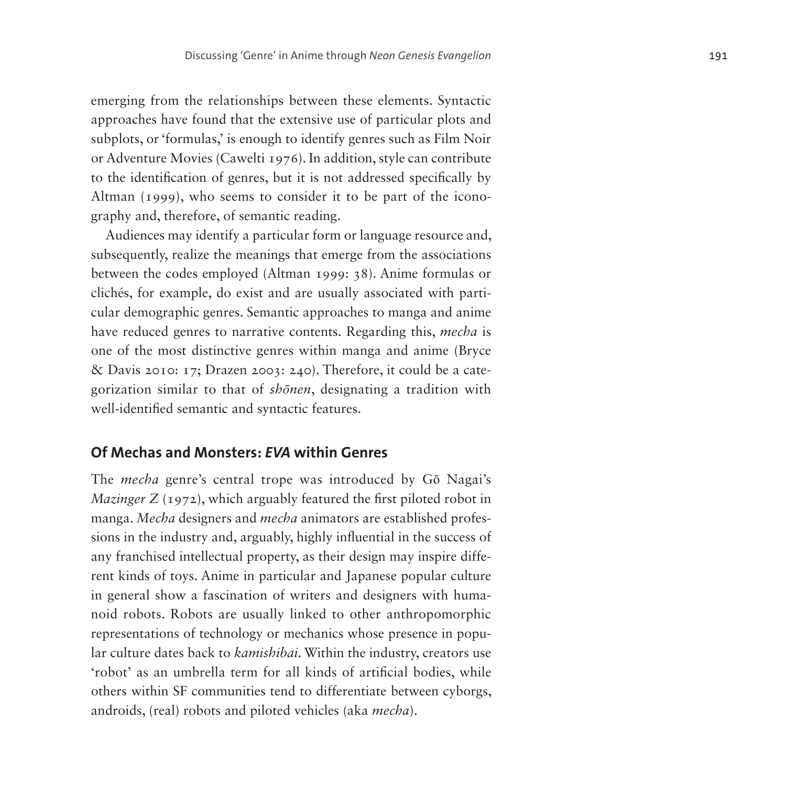emerging from the relationships between these elements. Syntactic approaches have found that the extensive use of particular plots and subplots, or 'formulas,' is enough to identify genres such as Film Noir or Adventure Movies (Cawelti 1976). In addition, style can contribute to the identification of genres, but it is not addressed specifically by Altman (1999), who seems to consider it to be part of the iconography and, therefore, of semantic reading.

Audiences may identify a particular form or language resource and, subsequently, realize the meanings that emerge from the associations between the codes employed (Altman 1999: 38). Anime formulas or clichés, for example, do exist and are usually associated with particular demographic genres. Semantic approaches to manga and anime have reduced genres to narrative contents. Regarding this, *mecha* is one of the most distinctive genres within manga and anime (Bryce & Davis 2010: 17; Drazen 2003: 240). Therefore, it could be a categorization similar to that of *shōnen*, designating a tradition with well-identified semantic and syntactic features.

### **Of Mechas and Monsters:** *EVA* **within Genres**

The *mecha* genre's central trope was introduced by Gō Nagai's *Mazinger Z* (1972), which arguably featured the first piloted robot in manga. *Mecha* designers and *mecha* animators are established professions in the industry and, arguably, highly influential in the success of any franchised intellectual property, as their design may inspire different kinds of toys. Anime in particular and Japanese popular culture in general show a fascination of writers and designers with humanoid robots. Robots are usually linked to other anthropomorphic representations of technology or mechanics whose presence in popular culture dates back to *kamishibai*. Within the industry, creators use 'robot' as an umbrella term for all kinds of artificial bodies, while others within SF communities tend to differentiate between cyborgs, androids, (real) robots and piloted vehicles (aka *mecha*).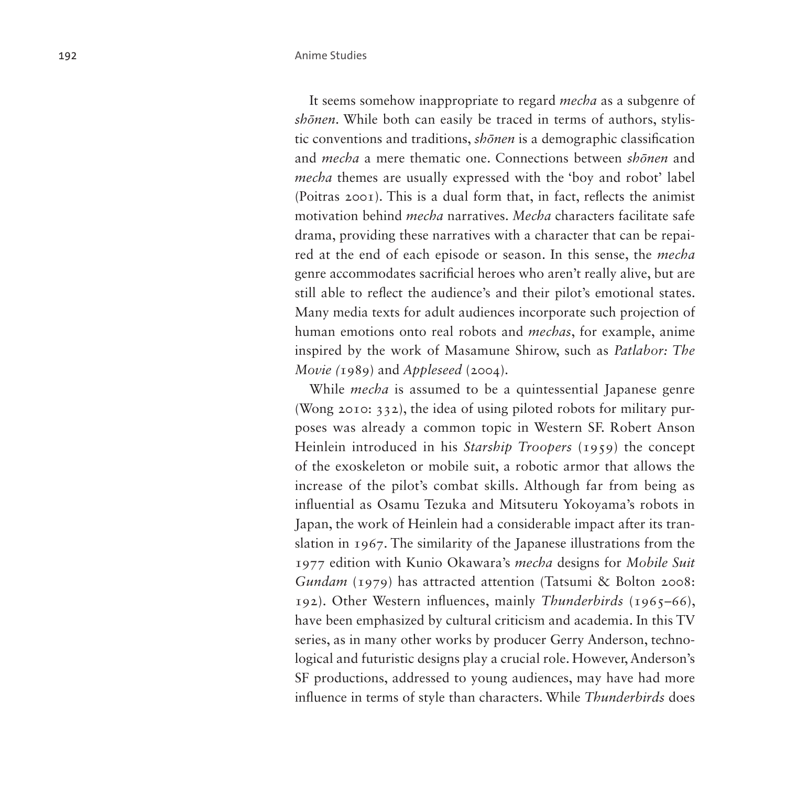It seems somehow inappropriate to regard *mecha* as a subgenre of *shōnen*. While both can easily be traced in terms of authors, stylistic conventions and traditions, *shōnen* is a demographic classification and *mecha* a mere thematic one. Connections between *shōnen* and *mecha* themes are usually expressed with the 'boy and robot' label (Poitras 2001). This is a dual form that, in fact, reflects the animist motivation behind *mecha* narratives. *Mecha* characters facilitate safe drama, providing these narratives with a character that can be repaired at the end of each episode or season. In this sense, the *mecha*  genre accommodates sacrificial heroes who aren't really alive, but are still able to reflect the audience's and their pilot's emotional states. Many media texts for adult audiences incorporate such projection of human emotions onto real robots and *mechas*, for example, anime inspired by the work of Masamune Shirow, such as *Patlabor: The Movie (*1989) and *Appleseed* (2004).

While *mecha* is assumed to be a quintessential Japanese genre (Wong 2010: 332), the idea of using piloted robots for military purposes was already a common topic in Western SF. Robert Anson Heinlein introduced in his *Starship Troopers* (1959) the concept of the exoskeleton or mobile suit, a robotic armor that allows the increase of the pilot's combat skills. Although far from being as influential as Osamu Tezuka and Mitsuteru Yokoyama's robots in Japan, the work of Heinlein had a considerable impact after its translation in 1967. The similarity of the Japanese illustrations from the 1977 edition with Kunio Okawara's *mecha* designs for *Mobile Suit Gundam* (1979) has attracted attention (Tatsumi & Bolton 2008: 192). Other Western influences, mainly *Thunderbirds* (1965–66), have been emphasized by cultural criticism and academia. In this TV series, as in many other works by producer Gerry Anderson, technological and futuristic designs play a crucial role. However, Anderson's SF productions, addressed to young audiences, may have had more influence in terms of style than characters. While *Thunderbirds* does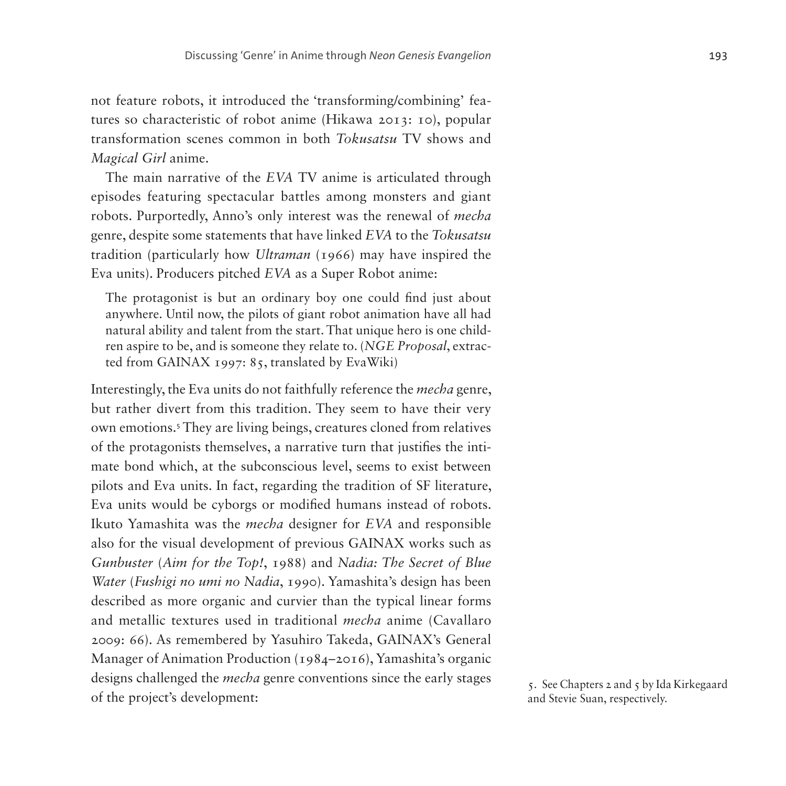not feature robots, it introduced the 'transforming/combining' features so characteristic of robot anime (Hikawa 2013: 10), popular transformation scenes common in both *Tokusatsu* TV shows and *Magical Girl* anime.

The main narrative of the *EVA* TV anime is articulated through episodes featuring spectacular battles among monsters and giant robots. Purportedly, Anno's only interest was the renewal of *mecha* genre, despite some statements that have linked *EVA* to the *Tokusatsu* tradition (particularly how *Ultraman* (1966) may have inspired the Eva units). Producers pitched *EVA* as a Super Robot anime:

The protagonist is but an ordinary boy one could find just about anywhere. Until now, the pilots of giant robot animation have all had natural ability and talent from the start. That unique hero is one children aspire to be, and is someone they relate to. (*NGE Proposal*, extracted from GAINAX 1997: 85, translated by EvaWiki)

Interestingly, the Eva units do not faithfully reference the *mecha* genre, but rather divert from this tradition. They seem to have their very own emotions.[5](#page-12-0) They are living beings, creatures cloned from relatives of the protagonists themselves, a narrative turn that justifies the intimate bond which, at the subconscious level, seems to exist between pilots and Eva units. In fact, regarding the tradition of SF literature, Eva units would be cyborgs or modified humans instead of robots. Ikuto Yamashita was the *mecha* designer for *EVA* and responsible also for the visual development of previous GAINAX works such as *Gunbuster* (*Aim for the Top!*, 1988) and *Nadia: The Secret of Blue Water* (*Fushigi no umi no Nadia*, 1990). Yamashita's design has been described as more organic and curvier than the typical linear forms and metallic textures used in traditional *mecha* anime (Cavallaro 2009: 66). As remembered by Yasuhiro Takeda, GAINAX's General Manager of Animation Production (1984–2016), Yamashita's organic designs challenged the *mecha* genre conventions since the early stages of the project's development:

<span id="page-12-0"></span>5. See Chapters 2 and 5 by Ida Kirkegaard and Stevie Suan, respectively.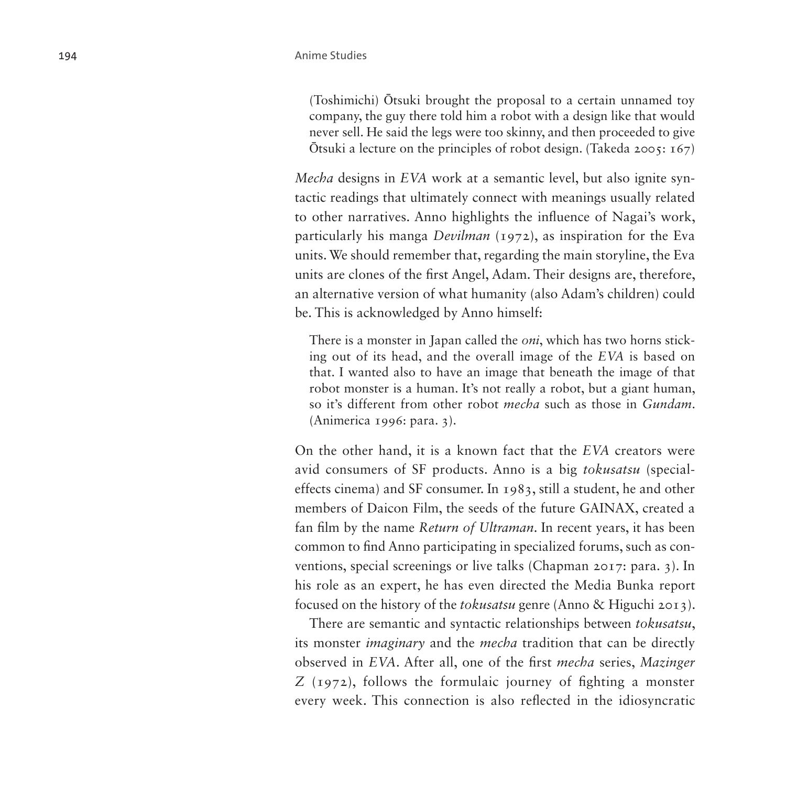(Toshimichi) Ōtsuki brought the proposal to a certain unnamed toy company, the guy there told him a robot with a design like that would never sell. He said the legs were too skinny, and then proceeded to give  $\overline{O}$ tsuki a lecture on the principles of robot design. (Takeda 2005: 167)

*Mecha* designs in *EVA* work at a semantic level, but also ignite syntactic readings that ultimately connect with meanings usually related to other narratives. Anno highlights the influence of Nagai's work, particularly his manga *Devilman* (1972), as inspiration for the Eva units. We should remember that, regarding the main storyline, the Eva units are clones of the first Angel, Adam. Their designs are, therefore, an alternative version of what humanity (also Adam's children) could be. This is acknowledged by Anno himself:

There is a monster in Japan called the *oni*, which has two horns sticking out of its head, and the overall image of the *EVA* is based on that. I wanted also to have an image that beneath the image of that robot monster is a human. It's not really a robot, but a giant human, so it's different from other robot *mecha* such as those in *Gundam*. (Animerica 1996: para. 3).

On the other hand, it is a known fact that the *EVA* creators were avid consumers of SF products. Anno is a big *tokusatsu* (specialeffects cinema) and SF consumer. In 1983, still a student, he and other members of Daicon Film, the seeds of the future GAINAX, created a fan film by the name *Return of Ultraman*. In recent years, it has been common to find Anno participating in specialized forums, such as conventions, special screenings or live talks (Chapman 2017: para. 3). In his role as an expert, he has even directed the Media Bunka report focused on the history of the *tokusatsu* genre (Anno & Higuchi 2013).

There are semantic and syntactic relationships between *tokusatsu*, its monster *imaginary* and the *mecha* tradition that can be directly observed in *EVA*. After all, one of the first *mecha* series, *Mazinger Z* (1972), follows the formulaic journey of fighting a monster every week. This connection is also reflected in the idiosyncratic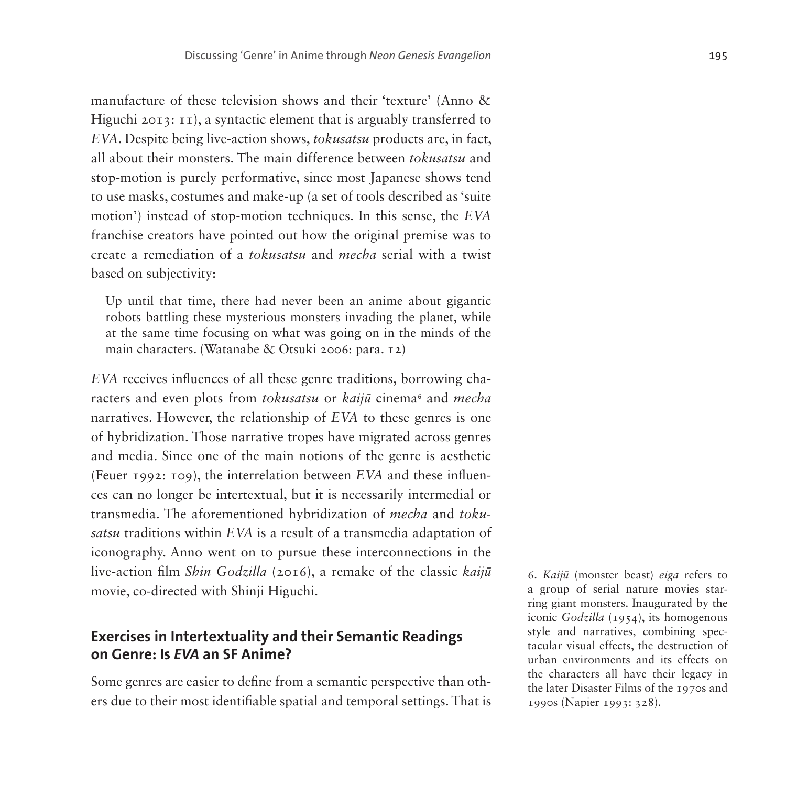manufacture of these television shows and their 'texture' (Anno & Higuchi 2013: 11), a syntactic element that is arguably transferred to *EVA*. Despite being live-action shows, *tokusatsu* products are, in fact, all about their monsters. The main difference between *tokusatsu* and stop-motion is purely performative, since most Japanese shows tend to use masks, costumes and make-up (a set of tools described as 'suite motion') instead of stop-motion techniques. In this sense, the *EVA* franchise creators have pointed out how the original premise was to create a remediation of a *tokusatsu* and *mecha* serial with a twist based on subjectivity:

Up until that time, there had never been an anime about gigantic robots battling these mysterious monsters invading the planet, while at the same time focusing on what was going on in the minds of the main characters. (Watanabe & Otsuki 2006: para. 12)

*EVA* receives influences of all these genre traditions, borrowing characters and even plots from *tokusatsu* or *kaijū* cinema<sup>[6](#page-14-0)</sup> and *mecha* narratives. However, the relationship of *EVA* to these genres is one of hybridization. Those narrative tropes have migrated across genres and media. Since one of the main notions of the genre is aesthetic (Feuer 1992: 109), the interrelation between *EVA* and these influences can no longer be intertextual, but it is necessarily intermedial or transmedia. The aforementioned hybridization of *mecha* and *tokusatsu* traditions within *EVA* is a result of a transmedia adaptation of iconography. Anno went on to pursue these interconnections in the live-action film *Shin Godzilla* (2016), a remake of the classic *kaijū* movie, co-directed with Shinji Higuchi.

## **Exercises in Intertextuality and their Semantic Readings on Genre: Is** *EVA* **an SF Anime?**

Some genres are easier to define from a semantic perspective than others due to their most identifiable spatial and temporal settings. That is

<span id="page-14-0"></span>6. *Kaijū* (monster beast) *eiga* refers to a group of serial nature movies starring giant monsters. Inaugurated by the iconic *Godzilla* (1954), its homogenous style and narratives, combining spectacular visual effects, the destruction of urban environments and its effects on the characters all have their legacy in the later Disaster Films of the 1970s and 1990s (Napier 1993: 328).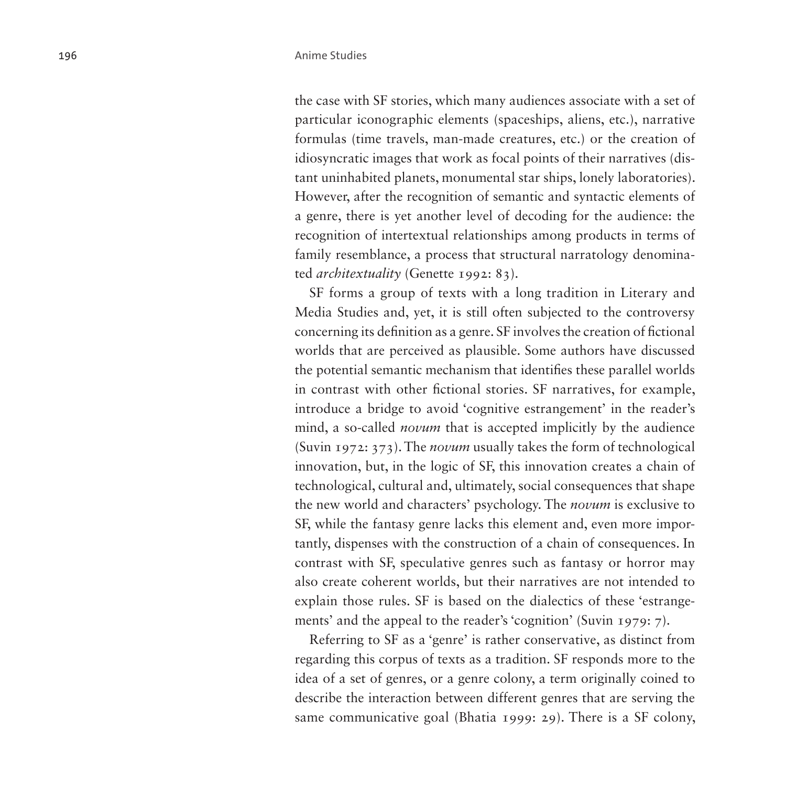the case with SF stories, which many audiences associate with a set of particular iconographic elements (spaceships, aliens, etc.), narrative formulas (time travels, man-made creatures, etc.) or the creation of idiosyncratic images that work as focal points of their narratives (distant uninhabited planets, monumental star ships, lonely laboratories). However, after the recognition of semantic and syntactic elements of a genre, there is yet another level of decoding for the audience: the recognition of intertextual relationships among products in terms of family resemblance, a process that structural narratology denominated *architextuality* (Genette 1992: 83).

SF forms a group of texts with a long tradition in Literary and Media Studies and, yet, it is still often subjected to the controversy concerning its definition as a genre. SF involves the creation of fictional worlds that are perceived as plausible. Some authors have discussed the potential semantic mechanism that identifies these parallel worlds in contrast with other fictional stories. SF narratives, for example, introduce a bridge to avoid 'cognitive estrangement' in the reader's mind, a so-called *novum* that is accepted implicitly by the audience (Suvin 1972: 373). The *novum* usually takes the form of technological innovation, but, in the logic of SF, this innovation creates a chain of technological, cultural and, ultimately, social consequences that shape the new world and characters' psychology. The *novum* is exclusive to SF, while the fantasy genre lacks this element and, even more importantly, dispenses with the construction of a chain of consequences. In contrast with SF, speculative genres such as fantasy or horror may also create coherent worlds, but their narratives are not intended to explain those rules. SF is based on the dialectics of these 'estrangements' and the appeal to the reader's 'cognition' (Suvin 1979: 7).

Referring to SF as a 'genre' is rather conservative, as distinct from regarding this corpus of texts as a tradition. SF responds more to the idea of a set of genres, or a genre colony, a term originally coined to describe the interaction between different genres that are serving the same communicative goal (Bhatia 1999: 29). There is a SF colony,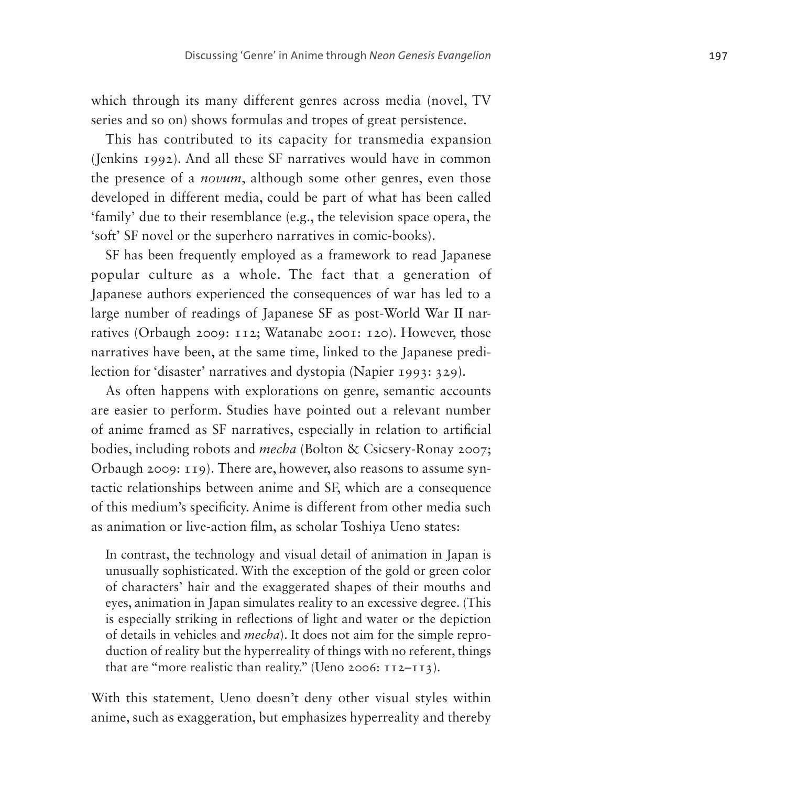which through its many different genres across media (novel, TV series and so on) shows formulas and tropes of great persistence.

This has contributed to its capacity for transmedia expansion (Jenkins 1992). And all these SF narratives would have in common the presence of a *novum*, although some other genres, even those developed in different media, could be part of what has been called 'family' due to their resemblance (e.g., the television space opera, the 'soft' SF novel or the superhero narratives in comic-books).

SF has been frequently employed as a framework to read Japanese popular culture as a whole. The fact that a generation of Japanese authors experienced the consequences of war has led to a large number of readings of Japanese SF as post-World War II nar ratives (Orbaugh 2009: 112; Watanabe 2001: 120). However, those narratives have been, at the same time, linked to the Japanese predi lection for 'disaster' narratives and dystopia (Napier 1993: 329).

As often happens with explorations on genre, semantic accounts are easier to perform. Studies have pointed out a relevant number of anime framed as SF narratives, especially in relation to artificial bodies, including robots and *mecha* (Bolton & Csicsery-Ronay 2007; Orbaugh 2009: 119). There are, however, also reasons to assume syn tactic relationships between anime and SF, which are a consequence of this medium's specificity. Anime is different from other media such as animation or live-action film, as scholar Toshiya Ueno states:

In contrast, the technology and visual detail of animation in Japan is unusually sophisticated. With the exception of the gold or green color of characters' hair and the exaggerated shapes of their mouths and eyes, animation in Japan simulates reality to an excessive degree. (This is especially striking in reflections of light and water or the depiction of details in vehicles and *mecha*). It does not aim for the simple repro duction of reality but the hyperreality of things with no referent, things that are "more realistic than reality." (Ueno 2006:  $112-113$ ).

With this statement, Ueno doesn't deny other visual styles within anime, such as exaggeration, but emphasizes hyperreality and thereby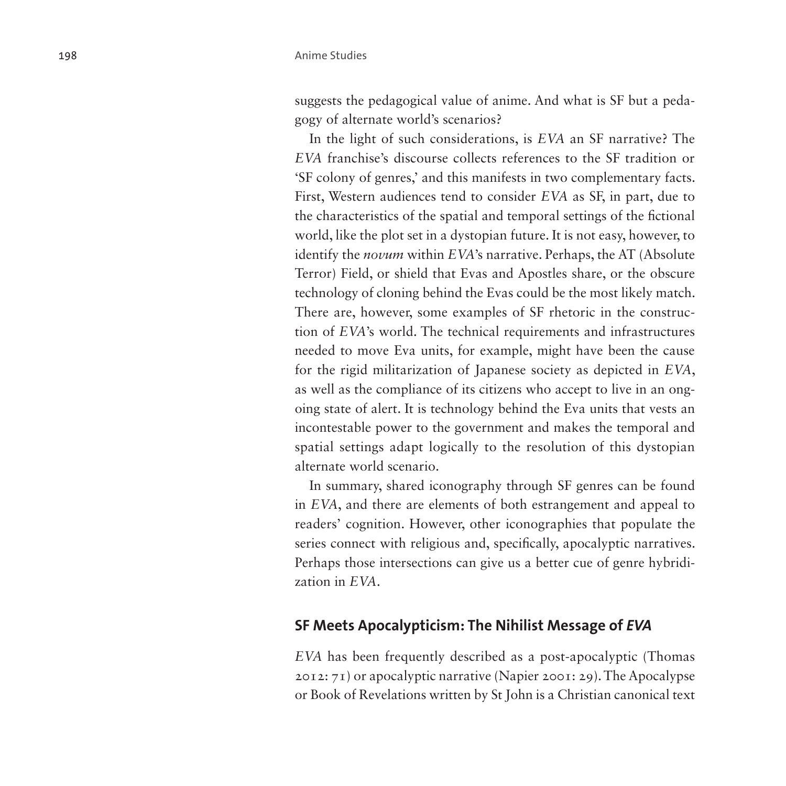suggests the pedagogical value of anime. And what is SF but a pedagogy of alternate world's scenarios?

In the light of such considerations, is *EVA* an SF narrative? The *EVA* franchise's discourse collects references to the SF tradition or 'SF colony of genres,' and this manifests in two complementary facts. First, Western audiences tend to consider *EVA* as SF, in part, due to the characteristics of the spatial and temporal settings of the fictional world, like the plot set in a dystopian future. It is not easy, however, to identify the *novum* within *EVA*'s narrative. Perhaps, the AT (Absolute Terror) Field, or shield that Evas and Apostles share, or the obscure technology of cloning behind the Evas could be the most likely match. There are, however, some examples of SF rhetoric in the construction of *EVA*'s world. The technical requirements and infrastructures needed to move Eva units, for example, might have been the cause for the rigid militarization of Japanese society as depicted in *EVA*, as well as the compliance of its citizens who accept to live in an ongoing state of alert. It is technology behind the Eva units that vests an incontestable power to the government and makes the temporal and spatial settings adapt logically to the resolution of this dystopian alternate world scenario.

In summary, shared iconography through SF genres can be found in *EVA*, and there are elements of both estrangement and appeal to readers' cognition. However, other iconographies that populate the series connect with religious and, specifically, apocalyptic narratives. Perhaps those intersections can give us a better cue of genre hybridization in *EVA*.

### **SF Meets Apocalypticism: The Nihilist Message of** *EVA*

*EVA* has been frequently described as a post-apocalyptic (Thomas 2012: 71) or apocalyptic narrative (Napier 2001: 29). The Apocalypse or Book of Revelations written by St John is a Christian canonical text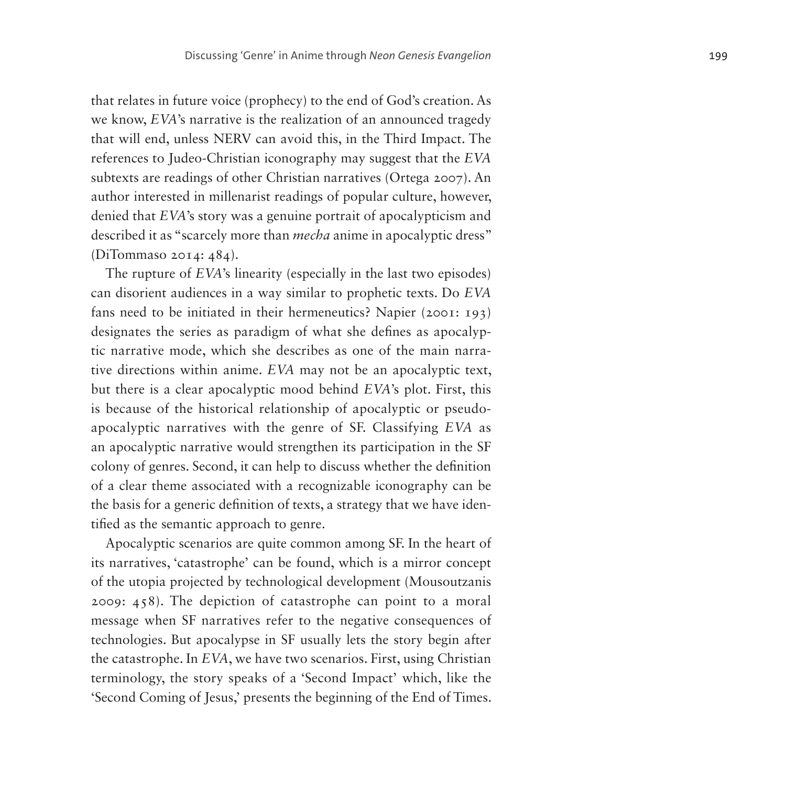that relates in future voice (prophecy) to the end of God's creation. As we know, *EVA*'s narrative is the realization of an announced tragedy that will end, unless NERV can avoid this, in the Third Impact. The references to Judeo-Christian iconography may suggest that the *EVA* subtexts are readings of other Christian narratives (Ortega 2007). An author interested in millenarist readings of popular culture, however, denied that *EVA*'s story was a genuine portrait of apocalypticism and described it as "scarcely more than *mecha* anime in apocalyptic dress" (DiTommaso 2014: 484).

The rupture of *EVA*'s linearity (especially in the last two episodes) can disorient audiences in a way similar to prophetic texts. Do *EVA* fans need to be initiated in their hermeneutics? Napier (2001: 193) designates the series as paradigm of what she defines as apocalyptic narrative mode, which she describes as one of the main narrative directions within anime. *EVA* may not be an apocalyptic text, but there is a clear apocalyptic mood behind *EVA*'s plot. First, this is because of the historical relationship of apocalyptic or pseudoapocalyptic narratives with the genre of SF. Classifying *EVA* as an apocalyptic narrative would strengthen its participation in the SF colony of genres. Second, it can help to discuss whether the definition of a clear theme associated with a recognizable iconography can be the basis for a generic definition of texts, a strategy that we have identified as the semantic approach to genre.

Apocalyptic scenarios are quite common among SF. In the heart of its narratives, 'catastrophe' can be found, which is a mirror concept of the utopia projected by technological development (Mousoutzanis 2009: 458). The depiction of catastrophe can point to a moral message when SF narratives refer to the negative consequences of technologies. But apocalypse in SF usually lets the story begin after the catastrophe. In *EVA*, we have two scenarios. First, using Christian terminology, the story speaks of a 'Second Impact' which, like the 'Second Coming of Jesus,' presents the beginning of the End of Times.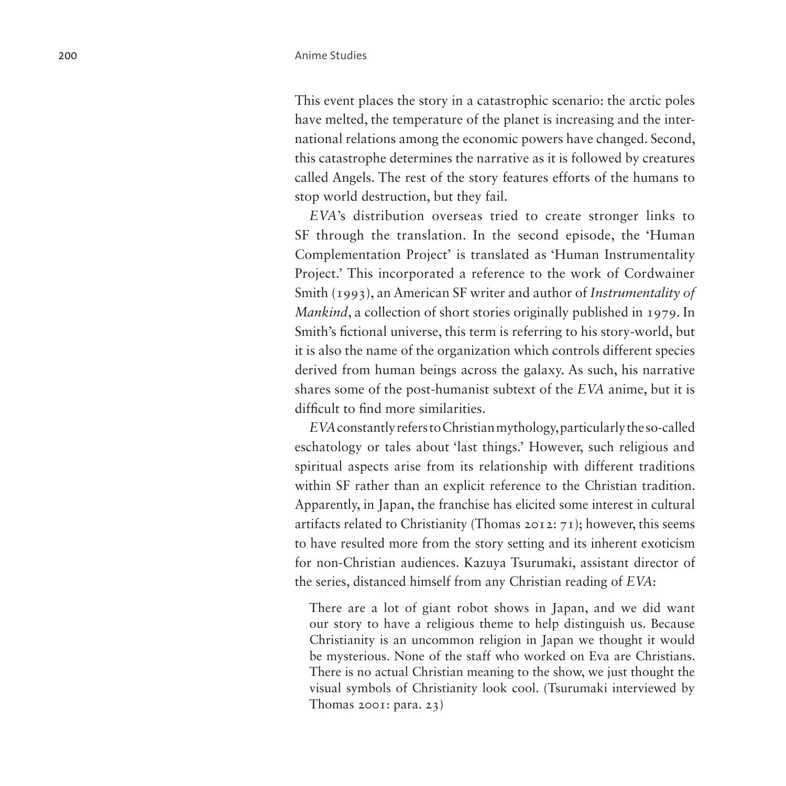This event places the story in a catastrophic scenario: the arctic poles have melted, the temperature of the planet is increasing and the international relations among the economic powers have changed. Second, this catastrophe determines the narrative as it is followed by creatures called Angels. The rest of the story features efforts of the humans to stop world destruction, but they fail.

*EVA*'s distribution overseas tried to create stronger links to SF through the translation. In the second episode, the 'Human Complementation Project' is translated as 'Human Instrumentality Project.' This incorporated a reference to the work of Cordwainer Smith (1993), an American SF writer and author of *Instrumentality of Mankind*, a collection of short stories originally published in 1979. In Smith's fictional universe, this term is referring to his story-world, but it is also the name of the organization which controls different species derived from human beings across the galaxy. As such, his narrative shares some of the post-humanist subtext of the *EVA* anime, but it is difficult to find more similarities.

*EVA* constantly refers to Christian mythology, particularly the so-called eschatology or tales about 'last things.' However, such religious and spiritual aspects arise from its relationship with different traditions within SF rather than an explicit reference to the Christian tradition. Apparently, in Japan, the franchise has elicited some interest in cultural artifacts related to Christianity (Thomas 2012: 71); however, this seems to have resulted more from the story setting and its inherent exoticism for non-Christian audiences. Kazuya Tsurumaki, assistant director of the series, distanced himself from any Christian reading of *EVA*:

There are a lot of giant robot shows in Japan, and we did want our story to have a religious theme to help distinguish us. Because Christianity is an uncommon religion in Japan we thought it would be mysterious. None of the staff who worked on Eva are Christians. There is no actual Christian meaning to the show, we just thought the visual symbols of Christianity look cool. (Tsurumaki interviewed by Thomas 2001: para. 23)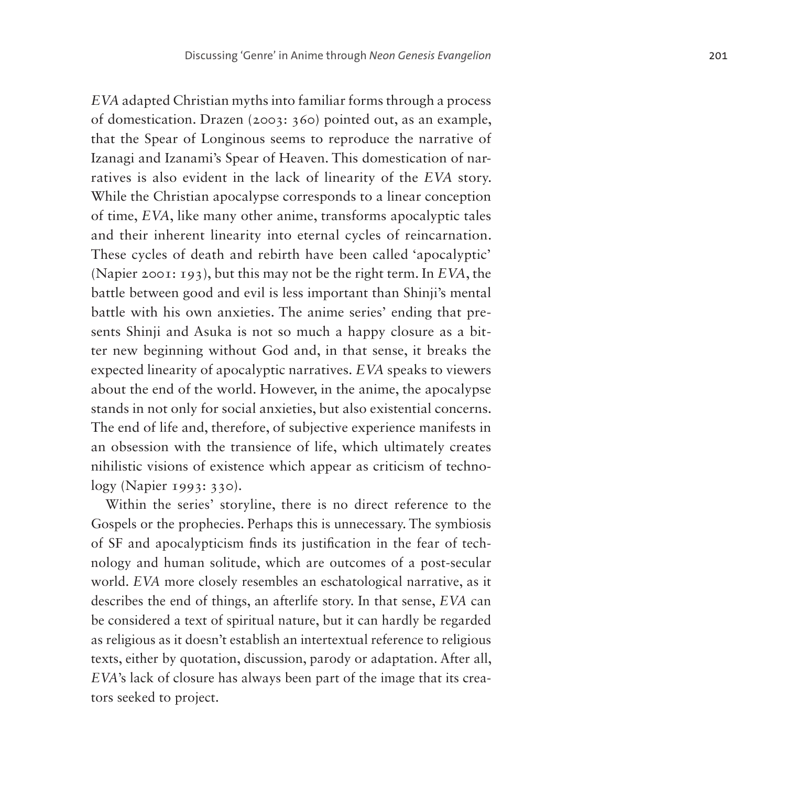*EVA* adapted Christian myths into familiar forms through a process of domestication. Drazen (2003: 360) pointed out, as an example, that the Spear of Longinous seems to reproduce the narrative of Izanagi and Izanami's Spear of Heaven. This domestication of narratives is also evident in the lack of linearity of the *EVA* story. While the Christian apocalypse corresponds to a linear conception of time, *EVA*, like many other anime, transforms apocalyptic tales and their inherent linearity into eternal cycles of reincarnation. These cycles of death and rebirth have been called 'apocalyptic' (Napier 2001: 193), but this may not be the right term. In *EVA*, the battle between good and evil is less important than Shinji's mental battle with his own anxieties. The anime series' ending that presents Shinji and Asuka is not so much a happy closure as a bitter new beginning without God and, in that sense, it breaks the expected linearity of apocalyptic narratives. *EVA* speaks to viewers about the end of the world. However, in the anime, the apocalypse stands in not only for social anxieties, but also existential concerns. The end of life and, therefore, of subjective experience manifests in an obsession with the transience of life, which ultimately creates nihilistic visions of existence which appear as criticism of technology (Napier 1993: 330).

Within the series' storyline, there is no direct reference to the Gospels or the prophecies. Perhaps this is unnecessary. The symbiosis of SF and apocalypticism finds its justification in the fear of technology and human solitude, which are outcomes of a post-secular world. *EVA* more closely resembles an eschatological narrative, as it describes the end of things, an afterlife story. In that sense, *EVA* can be considered a text of spiritual nature, but it can hardly be regarded as religious as it doesn't establish an intertextual reference to religious texts, either by quotation, discussion, parody or adaptation. After all, *EVA*'s lack of closure has always been part of the image that its creators seeked to project.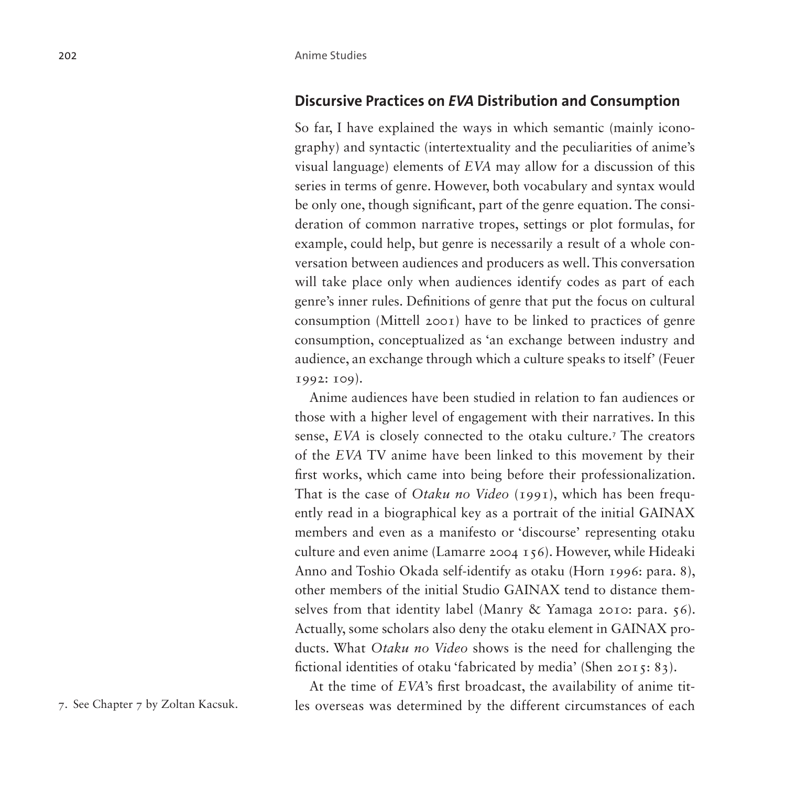### **Discursive Practices on** *EVA* **Distribution and Consumption**

So far, I have explained the ways in which semantic (mainly iconography) and syntactic (intertextuality and the peculiarities of anime's visual language) elements of *EVA* may allow for a discussion of this series in terms of genre. However, both vocabulary and syntax would be only one, though significant, part of the genre equation. The consideration of common narrative tropes, settings or plot formulas, for example, could help, but genre is necessarily a result of a whole conversation between audiences and producers as well. This conversation will take place only when audiences identify codes as part of each genre's inner rules. Definitions of genre that put the focus on cultural consumption (Mittell 2001) have to be linked to practices of genre consumption, conceptualized as 'an exchange between industry and audience, an exchange through which a culture speaks to itself' (Feuer 1992: 109).

Anime audiences have been studied in relation to fan audiences or those with a higher level of engagement with their narratives. In this sense, *EVA* is closely connected to the otaku culture.<sup>[7](#page-21-0)</sup> The creators of the *EVA* TV anime have been linked to this movement by their first works, which came into being before their professionalization. That is the case of *Otaku no Video* (1991), which has been frequently read in a biographical key as a portrait of the initial GAINAX members and even as a manifesto or 'discourse' representing otaku culture and even anime (Lamarre 2004 156). However, while Hideaki Anno and Toshio Okada self-identify as otaku (Horn 1996: para. 8), other members of the initial Studio GAINAX tend to distance themselves from that identity label (Manry & Yamaga 2010: para. 56). Actually, some scholars also deny the otaku element in GAINAX products. What *Otaku no Video* shows is the need for challenging the fictional identities of otaku 'fabricated by media' (Shen 2015: 83).

<span id="page-21-0"></span>

At the time of *EVA*'s first broadcast, the availability of anime tit-7. See Chapter 7 by Zoltan Kacsuk. les overseas was determined by the different circumstances of each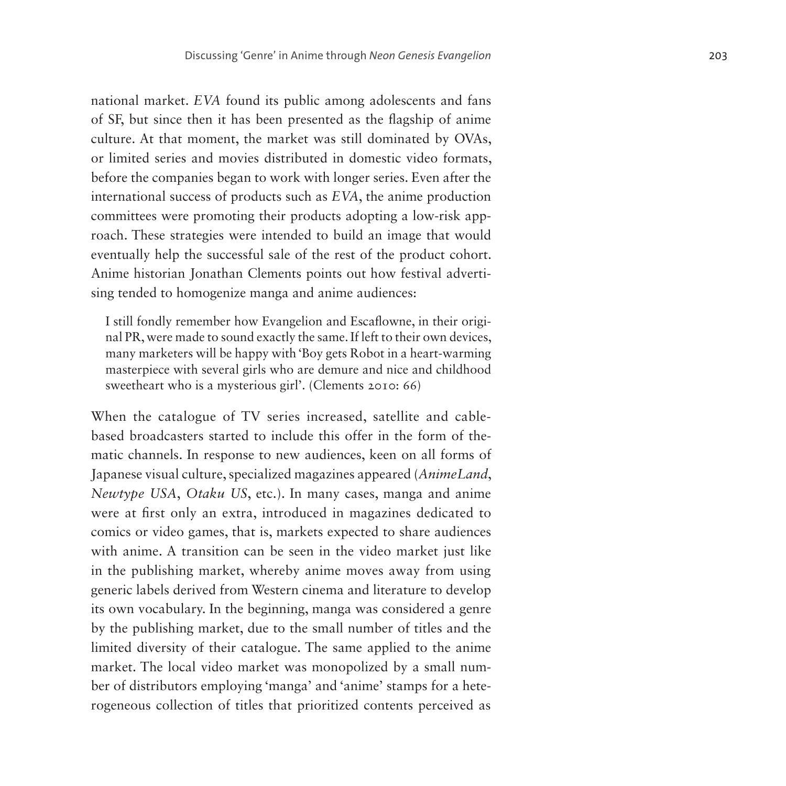national market. *EVA* found its public among adolescents and fans of SF, but since then it has been presented as the flagship of anime culture. At that moment, the market was still dominated by OVAs, or limited series and movies distributed in domestic video formats, before the companies began to work with longer series. Even after the international success of products such as *EVA*, the anime production committees were promoting their products adopting a low-risk app roach. These strategies were intended to build an image that would eventually help the successful sale of the rest of the product cohort. Anime historian Jonathan Clements points out how festival adverti sing tended to homogenize manga and anime audiences:

I still fondly remember how Evangelion and Escaflowne, in their origi nal PR, were made to sound exactly the same. If left to their own devices, many marketers will be happy with 'Boy gets Robot in a heart-warming masterpiece with several girls who are demure and nice and childhood sweetheart who is a mysterious girl'. (Clements 2010: 66)

When the catalogue of TV series increased, satellite and cablebased broadcasters started to include this offer in the form of thematic channels. In response to new audiences, keen on all forms of Japanese visual culture, specialized magazines appeared (*AnimeLand*, *Newtype USA* , *Otaku US*, etc.). In many cases, manga and anime were at first only an extra, introduced in magazines dedicated to comics or video games, that is, markets expected to share audiences with anime. A transition can be seen in the video market just like in the publishing market, whereby anime moves away from using generic labels derived from Western cinema and literature to develop its own vocabulary. In the beginning, manga was considered a genre by the publishing market, due to the small number of titles and the limited diversity of their catalogue. The same applied to the anime market. The local video market was monopolized by a small num ber of distributors employing 'manga' and 'anime' stamps for a hete rogeneous collection of titles that prioritized contents perceived as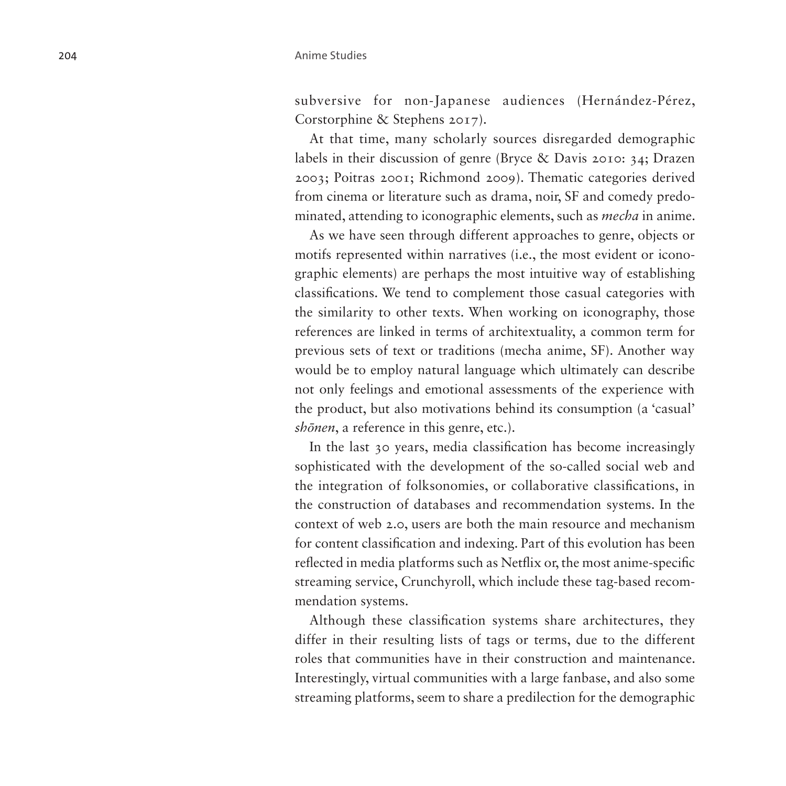subversive for non-Japanese audiences (Hernández-Pérez, Corstorphine & Stephens 2017).

At that time, many scholarly sources disregarded demographic labels in their discussion of genre (Bryce & Davis 2010: 34; Drazen 2003; Poitras 2001; Richmond 2009). Thematic categories derived from cinema or literature such as drama, noir, SF and comedy predominated, attending to iconographic elements, such as *mecha* in anime.

As we have seen through different approaches to genre, objects or motifs represented within narratives (i.e., the most evident or iconographic elements) are perhaps the most intuitive way of establishing classifications. We tend to complement those casual categories with the similarity to other texts. When working on iconography, those references are linked in terms of architextuality, a common term for previous sets of text or traditions (mecha anime, SF). Another way would be to employ natural language which ultimately can describe not only feelings and emotional assessments of the experience with the product, but also motivations behind its consumption (a 'casual' *shōnen*, a reference in this genre, etc.).

In the last 30 years, media classification has become increasingly sophisticated with the development of the so-called social web and the integration of folksonomies, or collaborative classifications, in the construction of databases and recommendation systems. In the context of web 2.0, users are both the main resource and mechanism for content classification and indexing. Part of this evolution has been reflected in media platforms such as Netflix or, the most anime-specific streaming service, Crunchyroll, which include these tag-based recommendation systems.

Although these classification systems share architectures, they differ in their resulting lists of tags or terms, due to the different roles that communities have in their construction and maintenance. Interestingly, virtual communities with a large fanbase, and also some streaming platforms, seem to share a predilection for the demographic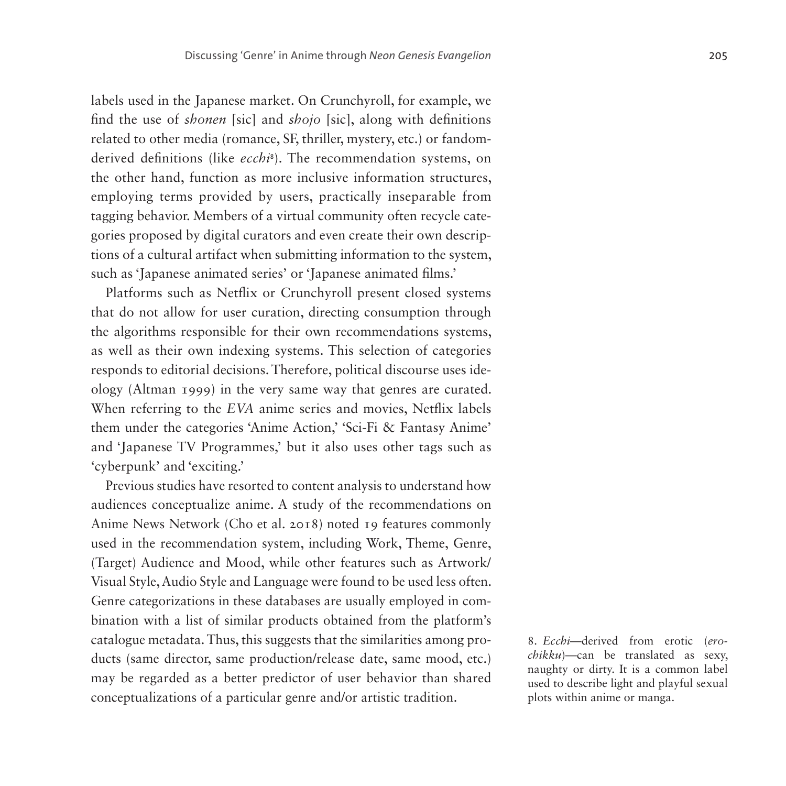labels used in the Japanese market. On Crunchyroll, for example, we find the use of *shonen* [sic] and *shojo* [sic], along with definitions related to other media (romance, SF, thriller, mystery, etc.) or fandomderived definitions (like *ecchi*[8](#page-24-0) ). The recommendation systems, on the other hand, function as more inclusive information structures, employing terms provided by users, practically inseparable from tagging behavior. Members of a virtual community often recycle categories proposed by digital curators and even create their own descriptions of a cultural artifact when submitting information to the system, such as 'Japanese animated series' or 'Japanese animated films.'

Platforms such as Netflix or Crunchyroll present closed systems that do not allow for user curation, directing consumption through the algorithms responsible for their own recommendations systems, as well as their own indexing systems. This selection of categories responds to editorial decisions. Therefore, political discourse uses ideology (Altman 1999) in the very same way that genres are curated. When referring to the *EVA* anime series and movies, Netflix labels them under the categories 'Anime Action,' 'Sci-Fi & Fantasy Anime' and 'Japanese TV Programmes,' but it also uses other tags such as 'cyberpunk' and 'exciting.'

Previous studies have resorted to content analysis to understand how audiences conceptualize anime. A study of the recommendations on Anime News Network (Cho et al. 2018) noted 19 features commonly used in the recommendation system, including Work, Theme, Genre, (Target) Audience and Mood, while other features such as Artwork/ Visual Style, Audio Style and Language were found to be used less often. Genre categorizations in these databases are usually employed in combination with a list of similar products obtained from the platform's catalogue metadata. Thus, this suggests that the similarities among products (same director, same production/release date, same mood, etc.) may be regarded as a better predictor of user behavior than shared conceptualizations of a particular genre and/or artistic tradition.

<span id="page-24-0"></span>8. *Ecchi*—derived from erotic (*erochikku*)—can be translated as sexy, naughty or dirty. It is a common label used to describe light and playful sexual plots within anime or manga.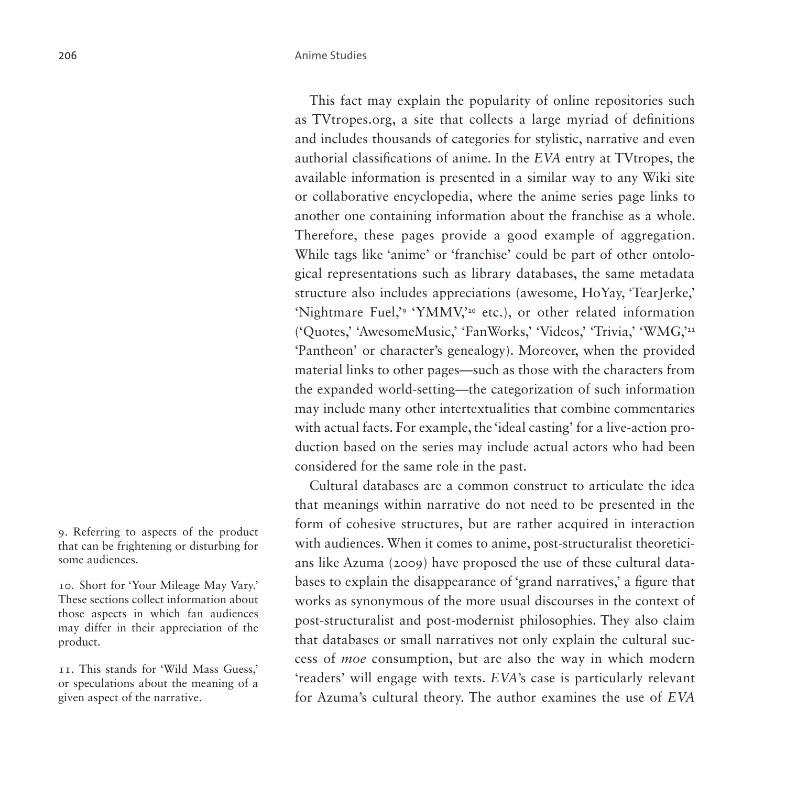This fact may explain the popularity of online repositories such as TVtropes.org, a site that collects a large myriad of definitions and includes thousands of categories for stylistic, narrative and even authorial classifications of anime. In the *EVA* entry at TVtropes, the available information is presented in a similar way to any Wiki site or collaborative encyclopedia, where the anime series page links to another one containing information about the franchise as a whole. Therefore, these pages provide a good example of aggregation. While tags like 'anime' or 'franchise' could be part of other ontological representations such as library databases, the same metadata structure also includes appreciations (awesome, HoYay, 'TearJerke,' 'Nightmare Fuel,'[9](#page-25-0) 'YMMV,'[10](#page-25-1) etc.), or other related information ('Quotes,' 'AwesomeMusic,' 'FanWorks,' 'Videos,' 'Trivia,' 'WMG,'[11](#page-25-2) 'Pantheon' or character's genealogy). Moreover, when the provided material links to other pages—such as those with the characters from the expanded world-setting—the categorization of such information may include many other intertextualities that combine commentaries with actual facts. For example, the 'ideal casting' for a live-action production based on the series may include actual actors who had been considered for the same role in the past.

Cultural databases are a common construct to articulate the idea that meanings within narrative do not need to be presented in the form of cohesive structures, but are rather acquired in interaction with audiences. When it comes to anime, post-structuralist theoreticians like Azuma (2009) have proposed the use of these cultural databases to explain the disappearance of 'grand narratives,' a figure that works as synonymous of the more usual discourses in the context of post-structuralist and post-modernist philosophies. They also claim that databases or small narratives not only explain the cultural success of *moe* consumption, but are also the way in which modern 'readers' will engage with texts. *EVA*'s case is particularly relevant for Azuma's cultural theory. The author examines the use of *EVA*

<span id="page-25-0"></span>9. Referring to aspects of the product that can be frightening or disturbing for some audiences.

<span id="page-25-1"></span>10. Short for 'Your Mileage May Vary.' These sections collect information about those aspects in which fan audiences may differ in their appreciation of the product.

<span id="page-25-2"></span>11. This stands for 'Wild Mass Guess,' or speculations about the meaning of a given aspect of the narrative.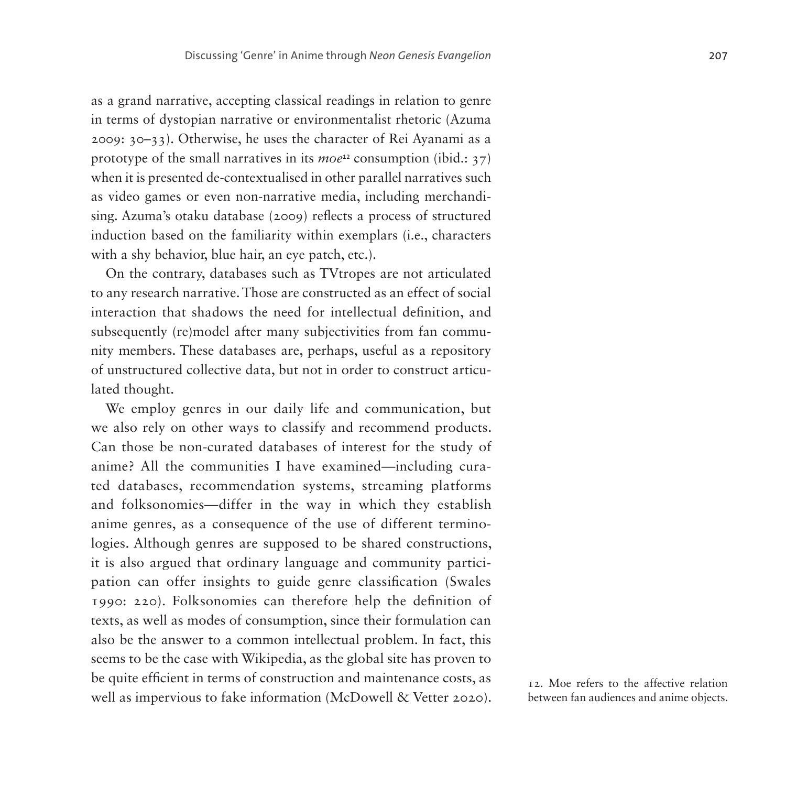as a grand narrative, accepting classical readings in relation to genre in terms of dystopian narrative or environmentalist rhetoric (Azuma 2009: 30–33). Otherwise, he uses the character of Rei Ayanami as a prototype of the small narratives in its *moe*[12](#page-26-0) consumption (ibid.: 37) when it is presented de-contextualised in other parallel narratives such as video games or even non-narrative media, including merchandising. Azuma's otaku database (2009) reflects a process of structured induction based on the familiarity within exemplars (i.e., characters with a shy behavior, blue hair, an eye patch, etc.).

On the contrary, databases such as TVtropes are not articulated to any research narrative. Those are constructed as an effect of social interaction that shadows the need for intellectual definition, and subsequently (re)model after many subjectivities from fan community members. These databases are, perhaps, useful as a repository of unstructured collective data, but not in order to construct articulated thought.

We employ genres in our daily life and communication, but we also rely on other ways to classify and recommend products. Can those be non-curated databases of interest for the study of anime? All the communities I have examined—including curated databases, recommendation systems, streaming platforms and folksonomies—differ in the way in which they establish anime genres, as a consequence of the use of different terminologies. Although genres are supposed to be shared constructions, it is also argued that ordinary language and community participation can offer insights to guide genre classification (Swales 1990: 220). Folksonomies can therefore help the definition of texts, as well as modes of consumption, since their formulation can also be the answer to a common intellectual problem. In fact, this seems to be the case with Wikipedia, as the global site has proven to be quite efficient in terms of construction and maintenance costs, as well as impervious to fake information (McDowell & Vetter 2020).

<span id="page-26-0"></span>12. Moe refers to the affective relation between fan audiences and anime objects.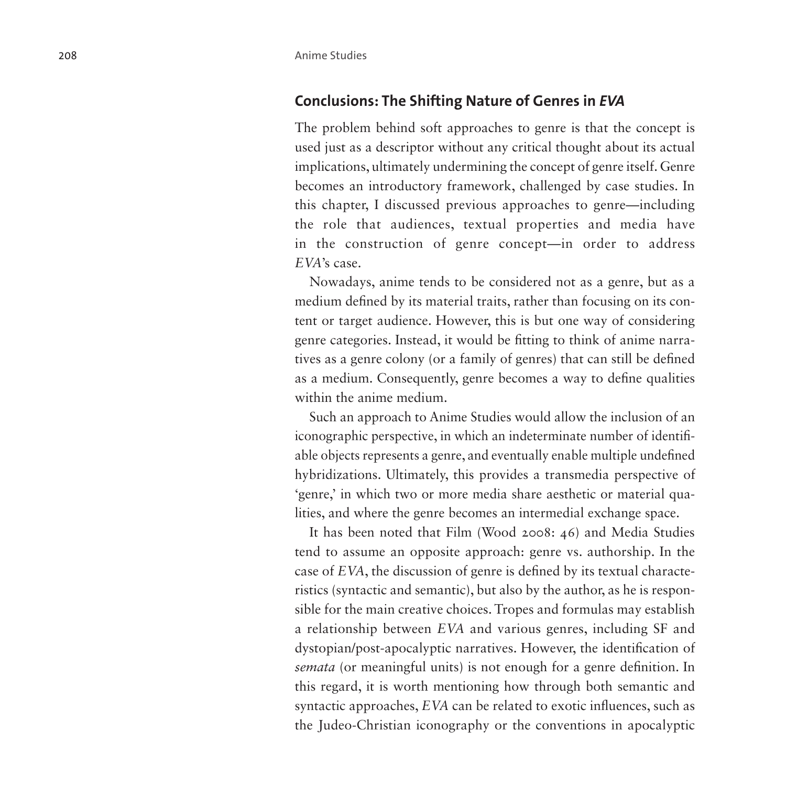### **Conclusions: The Shifting Nature of Genres in** *EVA*

The problem behind soft approaches to genre is that the concept is used just as a descriptor without any critical thought about its actual implications, ultimately undermining the concept of genre itself. Genre becomes an introductory framework, challenged by case studies. In this chapter, I discussed previous approaches to genre—including the role that audiences, textual properties and media have in the construction of genre concept—in order to address *EVA*'s case.

Nowadays, anime tends to be considered not as a genre, but as a medium defined by its material traits, rather than focusing on its con tent or target audience. However, this is but one way of considering genre categories. Instead, it would be fitting to think of anime narra tives as a genre colony (or a family of genres) that can still be defined as a medium. Consequently, genre becomes a way to define qualities within the anime medium.

Such an approach to Anime Studies would allow the inclusion of an iconographic perspective, in which an indeterminate number of identifi able objects represents a genre, and eventually enable multiple undefined hybridizations. Ultimately, this provides a transmedia perspective of 'genre,' in which two or more media share aesthetic or material qualities, and where the genre becomes an intermedial exchange space.

It has been noted that Film (Wood 2008: 46) and Media Studies tend to assume an opposite approach: genre vs. authorship. In the case of *EVA*, the discussion of genre is defined by its textual characte ristics (syntactic and semantic), but also by the author, as he is responsible for the main creative choices. Tropes and formulas may establish a relationship between *EVA* and various genres, including SF and dystopian/post-apocalyptic narratives. However, the identification of *semata* (or meaningful units) is not enough for a genre definition. In this regard, it is worth mentioning how through both semantic and syntactic approaches, *EVA* can be related to exotic influences, such as the Judeo-Christian iconography or the conventions in apocalyptic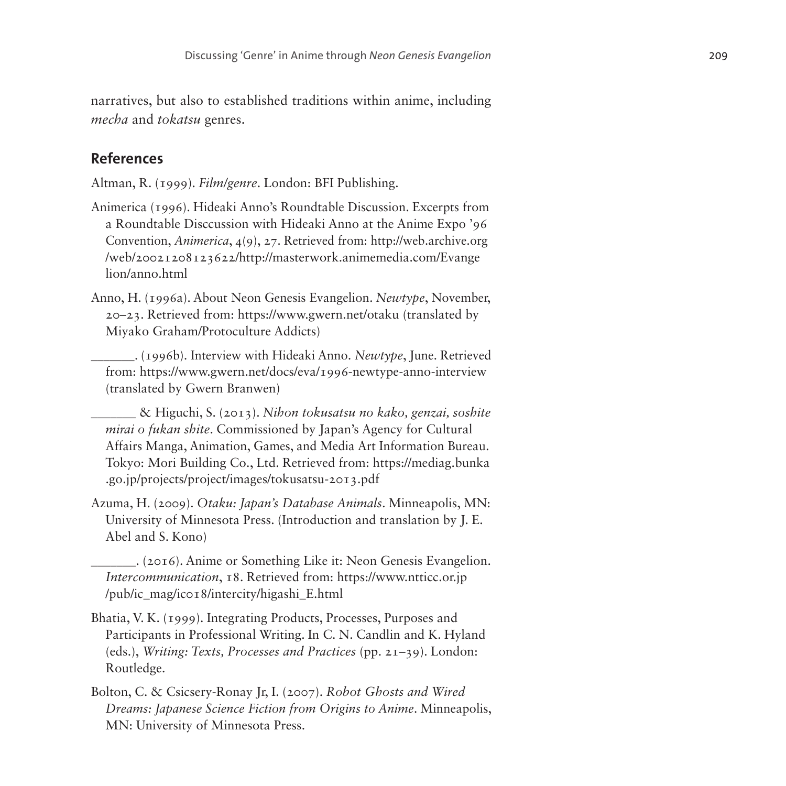narratives, but also to established traditions within anime, including *mecha* and *tokatsu* genres.

### **References**

Altman, R. (1999). *Film/genre*. London: BFI Publishing.

- Animerica (1996). Hideaki Anno's Roundtable Discussion. Excerpts from a Roundtable Disccussion with Hideaki Anno at the Anime Expo '96 Convention, *Animerica*, 4(9), 27. Retrieved from: [http://web.archive.org](http://web.archive.org/web/20021208123622/http://masterwork.animemedia.com/Evangelion/anno.html) [/web/20021208123622/http://masterwork.animemedia.com/Evange](http://web.archive.org/web/20021208123622/http://masterwork.animemedia.com/Evangelion/anno.html) [lion/anno.html](http://web.archive.org/web/20021208123622/http://masterwork.animemedia.com/Evangelion/anno.html)
- Anno, H. (1996a). About Neon Genesis Evangelion. *Newtype*, November, 20–23. Retrieved from:<https://www.gwern.net/otaku>(translated by Miyako Graham/Protoculture Addicts)

\_\_\_\_\_\_\_. (1996b). Interview with Hideaki Anno. *Newtype*, June. Retrieved from: <https://www.gwern.net/docs/eva/1996-newtype-anno-interview> (translated by Gwern Branwen)

\_\_\_\_\_\_\_ & Higuchi, S. (2013). *Nihon tokusatsu no kako, genzai, soshite mirai o fukan shite*. Commissioned by Japan's Agency for Cultural Affairs Manga, Animation, Games, and Media Art Information Bureau. Tokyo: Mori Building Co., Ltd. Retrieved from: [https://mediag.bunka](https://mediag.bunka.go.jp/projects/project/images/tokusatsu-2013.pdf) [.go.jp/projects/project/images/tokusatsu-2013.pdf](https://mediag.bunka.go.jp/projects/project/images/tokusatsu-2013.pdf)

Azuma, H. (2009). *Otaku: Japan's Database Animals*. Minneapolis, MN: University of Minnesota Press. (Introduction and translation by J. E. Abel and S. Kono)

\_\_\_\_\_\_\_. (2016). Anime or Something Like it: Neon Genesis Evangelion. *Intercommunication*, 18. Retrieved from: [https://www.ntticc.or.jp](https://www.ntticc.or.jp/pub/ic_mag/ic018/intercity/higashi_E.html) [/pub/ic\\_mag/ic018/intercity/higashi\\_E.html](https://www.ntticc.or.jp/pub/ic_mag/ic018/intercity/higashi_E.html)

- Bhatia, V. K. (1999). Integrating Products, Processes, Purposes and Participants in Professional Writing. In C. N. Candlin and K. Hyland (eds.), *Writing: Texts, Processes and Practices* (pp. 21–39). London: Routledge.
- Bolton, C. & Csicsery-Ronay Jr, I. (2007). *Robot Ghosts and Wired Dreams: Japanese Science Fiction from Origins to Anime*. Minneapolis, MN: University of Minnesota Press.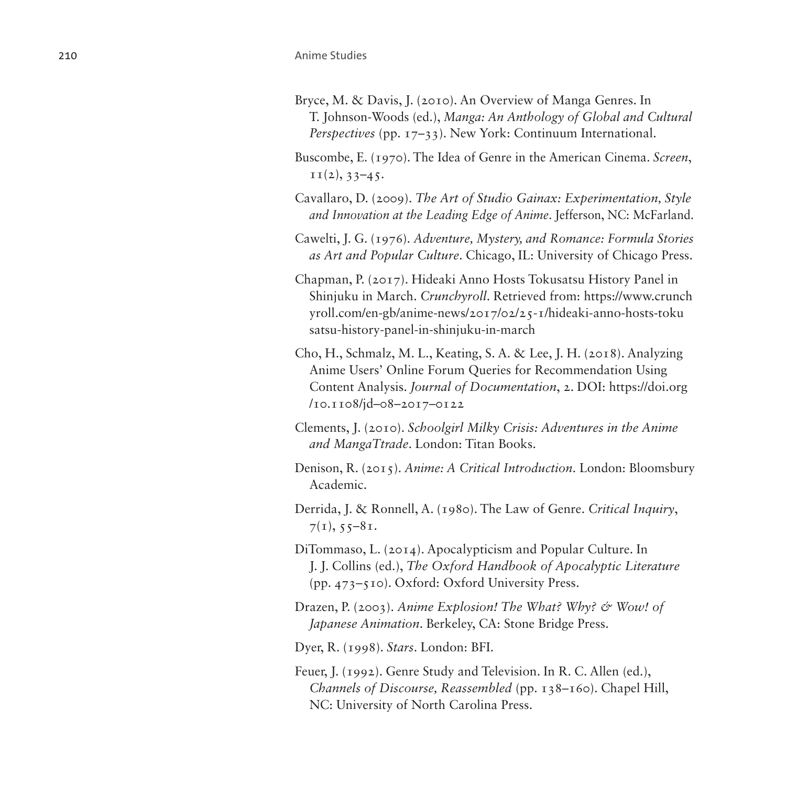- Bryce, M. & Davis, J. (2010). An Overview of Manga Genres. In T. Johnson-Woods (ed.), *Manga: An Anthology of Global and Cultural Perspectives* (pp. 17–33). New York: Continuum International.
- Buscombe, E. (1970). The Idea of Genre in the American Cinema. *Screen*,  $II(2), 33-45.$
- Cavallaro, D. (2009). *The Art of Studio Gainax: Experimentation, Style and Innovation at the Leading Edge of Anime*. Jefferson, NC: McFarland.
- Cawelti, J. G. (1976). *Adventure, Mystery, and Romance: Formula Stories as Art and Popular Culture*. Chicago, IL: University of Chicago Press.
- Chapman, P. (2017). Hideaki Anno Hosts Tokusatsu History Panel in Shinjuku in March. *Crunchyroll*. Retrieved from: [https://www.crunch](https://www.crunchyroll.com/en-gb/anime-news/2017/02/25-1/hideaki-anno-hosts-tokusatsu-history-panel-in-shinjuku-in-march) [yroll.com/en-gb/anime-news/2017/02/25-1/hideaki-anno-hosts-toku](https://www.crunchyroll.com/en-gb/anime-news/2017/02/25-1/hideaki-anno-hosts-tokusatsu-history-panel-in-shinjuku-in-march) [satsu-history-panel-in-shinjuku-in-march](https://www.crunchyroll.com/en-gb/anime-news/2017/02/25-1/hideaki-anno-hosts-tokusatsu-history-panel-in-shinjuku-in-march)
- Cho, H., Schmalz, M. L., Keating, S. A. & Lee, J. H. (2018). Analyzing Anime Users' Online Forum Queries for Recommendation Using Content Analysis. *Journal of Documentation*, 2. DOI: [https://doi.org](https://doi.org/ 10.1108/jd-08-2017-0122) [/10.1108/jd–08–2017–0122](https://doi.org/ 10.1108/jd-08-2017-0122)
- Clements, J. (2010). *Schoolgirl Milky Crisis: Adventures in the Anime and MangaTtrade*. London: Titan Books.
- Denison, R. (2015). *Anime: A Critical Introduction*. London: Bloomsbury Academic.
- Derrida, J. & Ronnell, A. (1980). The Law of Genre. *Critical Inquiry*,  $7(1), 55-81.$
- DiTommaso, L. (2014). Apocalypticism and Popular Culture. In J. J. Collins (ed.), *The Oxford Handbook of Apocalyptic Literature* (pp. 473–510). Oxford: Oxford University Press.
- Drazen, P. (2003). *Anime Explosion! The What? Why? & Wow! of Japanese Animation*. Berkeley, CA: Stone Bridge Press.
- Dyer, R. (1998). *Stars*. London: BFI.
- Feuer, J. (1992). Genre Study and Television. In R. C. Allen (ed.), *Channels of Discourse, Reassembled* (pp. 138–160). Chapel Hill, NC: University of North Carolina Press.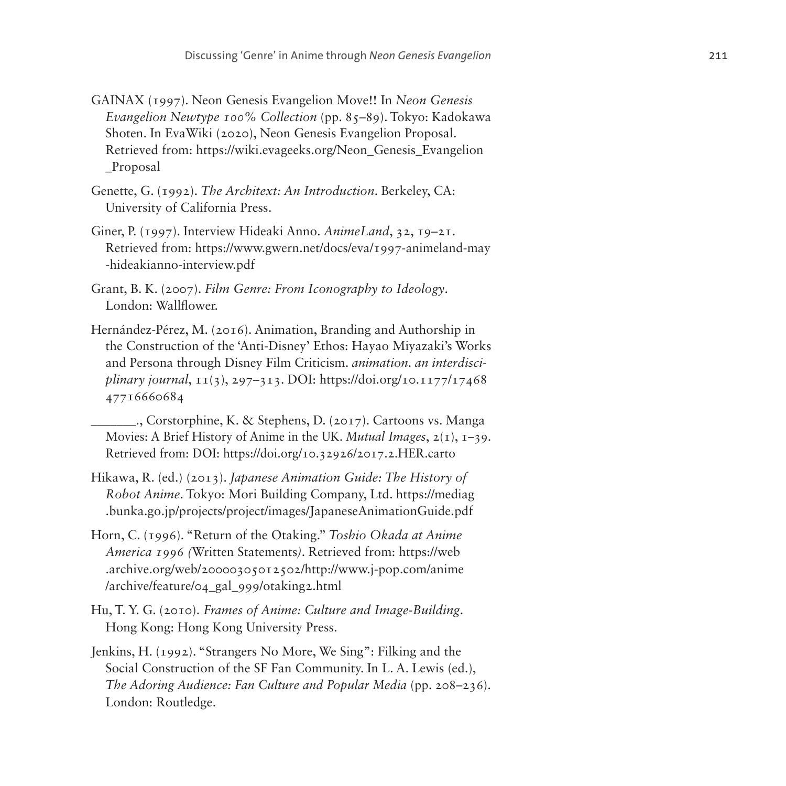- GAINAX (1997). Neon Genesis Evangelion Move!! In *Neon Genesis Evangelion Newtype 100% Collection* (pp. 85–89). Tokyo: Kadokawa Shoten. In EvaWiki (2020), Neon Genesis Evangelion Proposal. Retrieved from: [https://wiki.evageeks.org/Neon\\_Genesis\\_Evangelion](https://wiki.evageeks.org/Neon_Genesis_Evangelion_Proposal) [\\_Proposal](https://wiki.evageeks.org/Neon_Genesis_Evangelion_Proposal)
- Genette, G. (1992). *The Architext: An Introduction*. Berkeley, CA: University of California Press.
- Giner, P. (1997). Interview Hideaki Anno. *AnimeLand*, 32, 19–21. Retrieved from: [https://www.gwern.net/docs/eva/1997-animeland-may](https://www.gwern.net/docs/eva/1997-animeland-may-hideakianno-interview.pdf) [-hideakianno-interview.pdf](https://www.gwern.net/docs/eva/1997-animeland-may-hideakianno-interview.pdf)
- Grant, B. K. (2007). *Film Genre: From Iconography to Ideology*. London: Wallflower.
- Hernández-Pérez, M. (2016). Animation, Branding and Authorship in the Construction of the 'Anti-Disney' Ethos: Hayao Miyazaki's Works and Persona through Disney Film Criticism. *animation. an interdisciplinary journal*, 11(3), 297–313. [DOI: https://doi.org/10.1177/17468](DOI: https://doi.org/10.1177/1746847716660684) [47716660684](DOI: https://doi.org/10.1177/1746847716660684)
- \_\_\_\_\_\_\_., Corstorphine, K. & Stephens, D. (2017). Cartoons vs. Manga Movies: A Brief History of Anime in the UK. *Mutual Images*, 2(1), 1–39. Retrieved from: DOI: <https://doi.org/10.32926/2017.2.HER.carto>
- Hikawa, R. (ed.) (2013). *Japanese Animation Guide: The History of Robot Anime*. Tokyo: Mori Building Company, Ltd. [https://mediag](https://mediag.bunka.go.jp/projects/project/images/JapaneseAnimationGuide.pdf) [.bunka.go.jp/projects/project/images/JapaneseAnimationGuide.pdf](https://mediag.bunka.go.jp/projects/project/images/JapaneseAnimationGuide.pdf)
- Horn, C. (1996). "Return of the Otaking." *Toshio Okada at Anime America 1996 (*Written Statements*)*. Retrieved from: [https://web](https://web.archive.org/web/20000305012502/http://www.j-pop.com/anime/archive/feature/04_gal_999/otaking2.html) [.archive.org/web/20000305012502/http://www.j-pop.com/anime](https://web.archive.org/web/20000305012502/http://www.j-pop.com/anime/archive/feature/04_gal_999/otaking2.html) [/archive/feature/04\\_gal\\_999/otaking2.html](https://web.archive.org/web/20000305012502/http://www.j-pop.com/anime/archive/feature/04_gal_999/otaking2.html)
- Hu, T. Y. G. (2010). *Frames of Anime: Culture and Image-Building*. Hong Kong: Hong Kong University Press.
- Jenkins, H. (1992). "Strangers No More, We Sing": Filking and the Social Construction of the SF Fan Community. In L. A. Lewis (ed.), *The Adoring Audience: Fan Culture and Popular Media* (pp. 208–236). London: Routledge.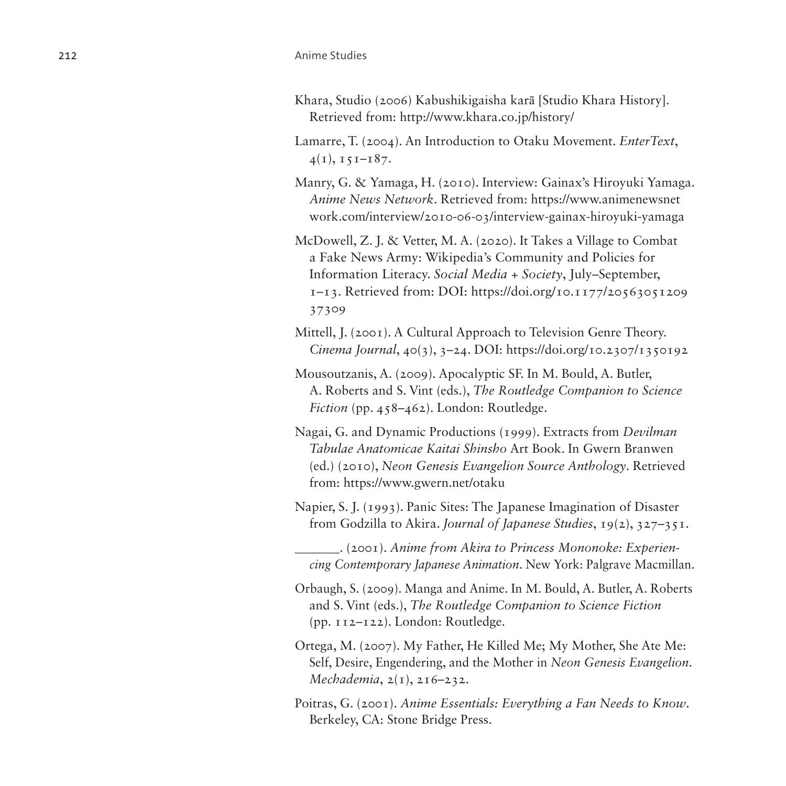#### 212 **Anime Studies**

- Khara, Studio (2006) Kabushikigaisha karā [Studio Khara History]. Retrieved from:<http://www.khara.co.jp/history/>
- Lamarre, T. (2004). An Introduction to Otaku Movement. *EnterText*,  $4(1), 151-187.$
- Manry, G. & Yamaga, H. (2010). Interview: Gainax's Hiroyuki Yamaga. *Anime News Network*. Retrieved from: [https://www.animenewsnet](https://www.animenewsnetwork.com/interview/2010-06-03/interview-gainax-hiroyuki-yamaga) [work.com/interview/2010-06-03/interview-gainax-hiroyuki-yamaga](https://www.animenewsnetwork.com/interview/2010-06-03/interview-gainax-hiroyuki-yamaga)
- McDowell, Z. J. & Vetter, M. A. (2020). It Takes a Village to Combat a Fake News Army: Wikipedia's Community and Policies for Information Literacy. *Social Media + Society*, July–September, 1–13. Retrieved from: DOI: [https://doi.org/10.1177/20563051209](https://doi.org/10.1177/2056305120937309) [37309](https://doi.org/10.1177/2056305120937309)
- Mittell, J. (2001). A Cultural Approach to Television Genre Theory. *Cinema Journal*, 40(3), 3–24. DOI:<https://doi.org/10.2307/1350192>
- Mousoutzanis, A. (2009). Apocalyptic SF. In M. Bould, A. Butler, A. Roberts and S. Vint (eds.), *The Routledge Companion to Science Fiction* (pp. 458–462). London: Routledge.
- Nagai, G. and Dynamic Productions (1999). Extracts from *Devilman Tabulae Anatomicae Kaitai Shinsho* Art Book. In Gwern Branwen (ed.) (2010), *Neon Genesis Evangelion Source Anthology*. Retrieved from: <https://www.gwern.net/otaku>
- Napier, S. J. (1993). Panic Sites: The Japanese Imagination of Disaster from Godzilla to Akira. *Journal of Japanese Studies*, 19(2), 327–351.
	- \_\_\_\_\_\_\_. (2001). *Anime from Akira to Princess Mononoke: Experiencing Contemporary Japanese Animation*. New York: Palgrave Macmillan.
- Orbaugh, S. (2009). Manga and Anime. In M. Bould, A. Butler, A. Roberts and S. Vint (eds.), *The Routledge Companion to Science Fiction* (pp. 112–122). London: Routledge.
- Ortega, M. (2007). My Father, He Killed Me; My Mother, She Ate Me: Self, Desire, Engendering, and the Mother in *Neon Genesis Evangelion*. *Mechademia*, 2(1), 216–232.
- Poitras, G. (2001). *Anime Essentials: Everything a Fan Needs to Know*. Berkeley, CA: Stone Bridge Press.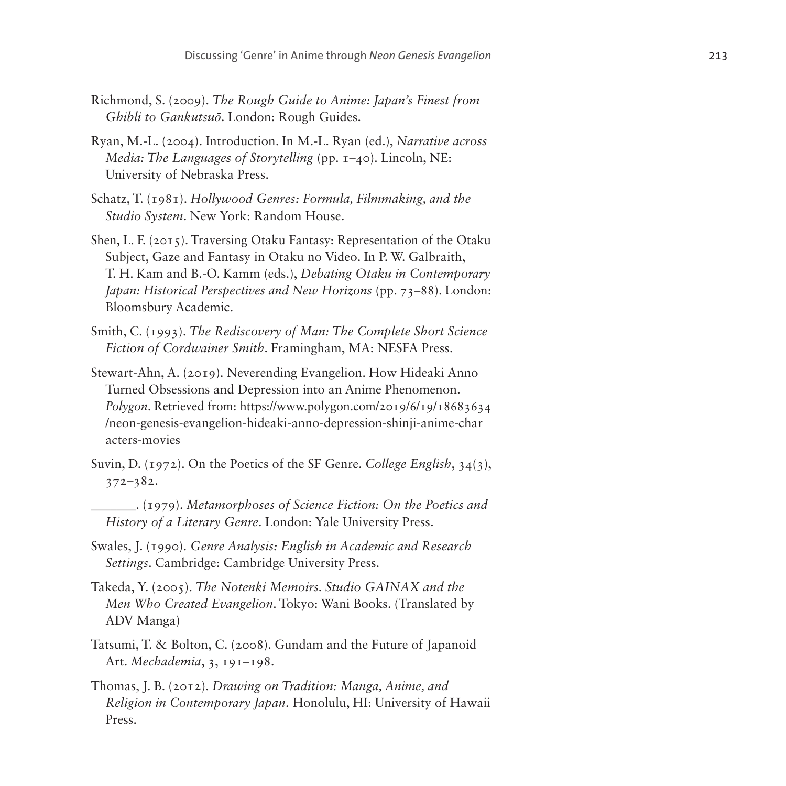- Richmond, S. (2009). *The Rough Guide to Anime: Japan's Finest from Ghibli to Gankutsuō*. London: Rough Guides.
- Ryan, M.-L. (2004). Introduction. In M.-L. Ryan (ed.), *Narrative across Media: The Languages of Storytelling* (pp. 1–40). Lincoln, NE: University of Nebraska Press.
- Schatz, T. (1981). *Hollywood Genres: Formula, Filmmaking, and the Studio System*. New York: Random House.
- Shen, L. F. (2015). Traversing Otaku Fantasy: Representation of the Otaku Subject, Gaze and Fantasy in Otaku no Video. In P. W. Galbraith, T. H. Kam and B.-O. Kamm (eds.), *Debating Otaku in Contemporary Japan: Historical Perspectives and New Horizons* (pp. 73–88). London: Bloomsbury Academic.
- Smith, C. (1993). *The Rediscovery of Man: The Complete Short Science Fiction of Cordwainer Smith*. Framingham, MA: NESFA Press.
- Stewart-Ahn, A. (2019). Neverending Evangelion. How Hideaki Anno Turned Obsessions and Depression into an Anime Phenomenon. *Polygon*. Retrieved from: [https://www.polygon.com/2019/6/19/18683634](https://www.polygon.com/2019/6/19/18683634/neon-genesis-evangelion-hideaki-anno-depression-shinji-anime-characters-movies) [/neon-genesis-evangelion-hideaki-anno-depression-shinji-anime-char](https://www.polygon.com/2019/6/19/18683634/neon-genesis-evangelion-hideaki-anno-depression-shinji-anime-characters-movies) [acters-movies](https://www.polygon.com/2019/6/19/18683634/neon-genesis-evangelion-hideaki-anno-depression-shinji-anime-characters-movies)
- Suvin, D. (1972). On the Poetics of the SF Genre. *College English*, 34(3), 372–382.
- \_\_\_\_\_\_\_. (1979). *Metamorphoses of Science Fiction: On the Poetics and History of a Literary Genre*. London: Yale University Press.
- Swales, J. (1990). *Genre Analysis: English in Academic and Research Settings*. Cambridge: Cambridge University Press.
- Takeda, Y. (2005). *The Notenki Memoirs. Studio GAINAX and the Men Who Created Evangelion*. Tokyo: Wani Books. (Translated by ADV Manga)
- Tatsumi, T. & Bolton, C. (2008). Gundam and the Future of Japanoid Art. *Mechademia*, 3, 191–198.
- Thomas, J. B. (2012). *Drawing on Tradition: Manga, Anime, and Religion in Contemporary Japan*. Honolulu, HI: University of Hawaii Press.